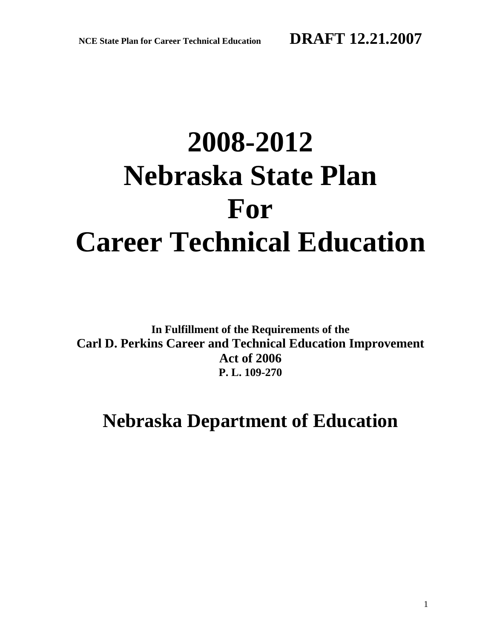# **2008-2012 Nebraska State Plan For Career Technical Education**

**In Fulfillment of the Requirements of the Carl D. Perkins Career and Technical Education Improvement Act of 2006 P. L. 109-270** 

## **Nebraska Department of Education**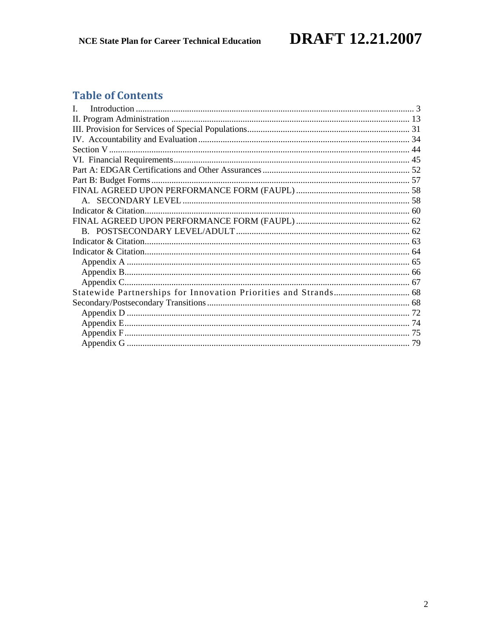### **DRAFT 12.21.2007**

### **Table of Contents**

| L. |  |
|----|--|
|    |  |
|    |  |
|    |  |
|    |  |
|    |  |
|    |  |
|    |  |
|    |  |
|    |  |
|    |  |
|    |  |
|    |  |
|    |  |
|    |  |
|    |  |
|    |  |
|    |  |
|    |  |
|    |  |
|    |  |
|    |  |
|    |  |
|    |  |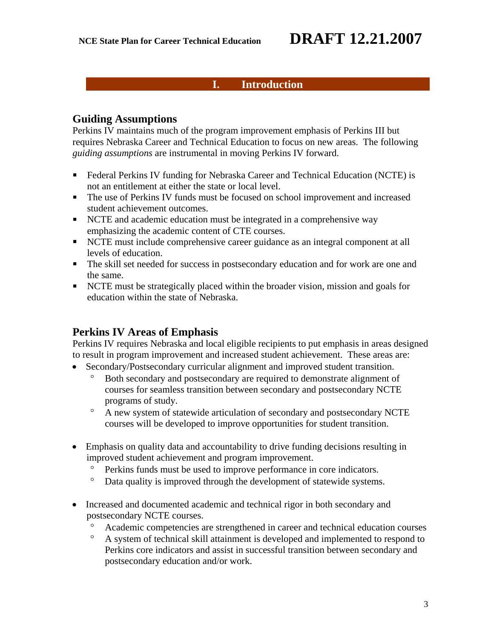### **I. Introduction**

### **Guiding Assumptions**

Perkins IV maintains much of the program improvement emphasis of Perkins III but requires Nebraska Career and Technical Education to focus on new areas. The following *guiding assumptions* are instrumental in moving Perkins IV forward.

- Federal Perkins IV funding for Nebraska Career and Technical Education (NCTE) is not an entitlement at either the state or local level.
- The use of Perkins IV funds must be focused on school improvement and increased student achievement outcomes.
- NCTE and academic education must be integrated in a comprehensive way emphasizing the academic content of CTE courses.
- NCTE must include comprehensive career guidance as an integral component at all levels of education.
- The skill set needed for success in postsecondary education and for work are one and the same.
- NCTE must be strategically placed within the broader vision, mission and goals for education within the state of Nebraska.

### **Perkins IV Areas of Emphasis**

Perkins IV requires Nebraska and local eligible recipients to put emphasis in areas designed to result in program improvement and increased student achievement. These areas are:

- Secondary/Postsecondary curricular alignment and improved student transition.
	- ° Both secondary and postsecondary are required to demonstrate alignment of courses for seamless transition between secondary and postsecondary NCTE programs of study.
	- ° A new system of statewide articulation of secondary and postsecondary NCTE courses will be developed to improve opportunities for student transition.
- Emphasis on quality data and accountability to drive funding decisions resulting in improved student achievement and program improvement.
	- Perkins funds must be used to improve performance in core indicators.
	- ° Data quality is improved through the development of statewide systems.
- Increased and documented academic and technical rigor in both secondary and postsecondary NCTE courses.
	- ° Academic competencies are strengthened in career and technical education courses
	- ° A system of technical skill attainment is developed and implemented to respond to Perkins core indicators and assist in successful transition between secondary and postsecondary education and/or work.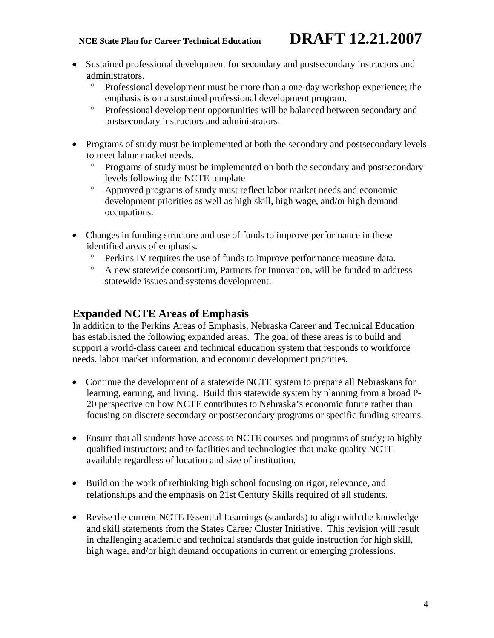- Sustained professional development for secondary and postsecondary instructors and administrators.
	- ° Professional development must be more than a one-day workshop experience; the emphasis is on a sustained professional development program.
	- ° Professional development opportunities will be balanced between secondary and postsecondary instructors and administrators.
- Programs of study must be implemented at both the secondary and postsecondary levels to meet labor market needs.
	- ° Programs of study must be implemented on both the secondary and postsecondary levels following the NCTE template
	- ° Approved programs of study must reflect labor market needs and economic development priorities as well as high skill, high wage, and/or high demand occupations.
- Changes in funding structure and use of funds to improve performance in these identified areas of emphasis.
	- ° Perkins IV requires the use of funds to improve performance measure data.
	- ° A new statewide consortium, Partners for Innovation, will be funded to address statewide issues and systems development.

### **Expanded NCTE Areas of Emphasis**

In addition to the Perkins Areas of Emphasis, Nebraska Career and Technical Education has established the following expanded areas. The goal of these areas is to build and support a world-class career and technical education system that responds to workforce needs, labor market information, and economic development priorities.

- Continue the development of a statewide NCTE system to prepare all Nebraskans for learning, earning, and living. Build this statewide system by planning from a broad P-20 perspective on how NCTE contributes to Nebraska's economic future rather than focusing on discrete secondary or postsecondary programs or specific funding streams.
- Ensure that all students have access to NCTE courses and programs of study; to highly qualified instructors; and to facilities and technologies that make quality NCTE available regardless of location and size of institution.
- Build on the work of rethinking high school focusing on rigor, relevance, and relationships and the emphasis on 21st Century Skills required of all students.
- Revise the current NCTE Essential Learnings (standards) to align with the knowledge and skill statements from the States Career Cluster Initiative. This revision will result in challenging academic and technical standards that guide instruction for high skill, high wage, and/or high demand occupations in current or emerging professions.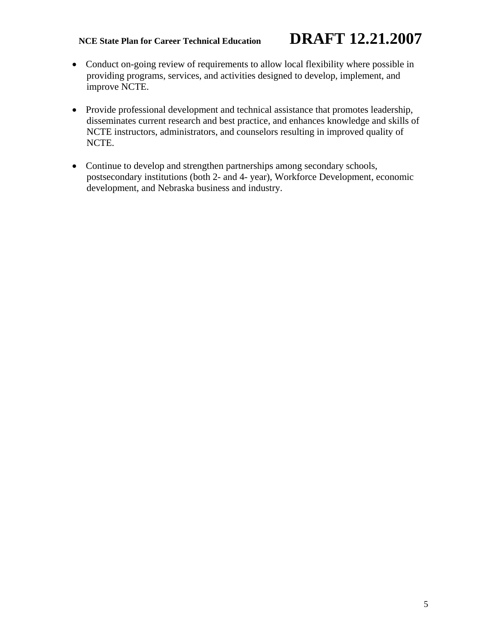- Conduct on-going review of requirements to allow local flexibility where possible in providing programs, services, and activities designed to develop, implement, and improve NCTE.
- Provide professional development and technical assistance that promotes leadership, disseminates current research and best practice, and enhances knowledge and skills of NCTE instructors, administrators, and counselors resulting in improved quality of NCTE.
- Continue to develop and strengthen partnerships among secondary schools, postsecondary institutions (both 2- and 4- year), Workforce Development, economic development, and Nebraska business and industry.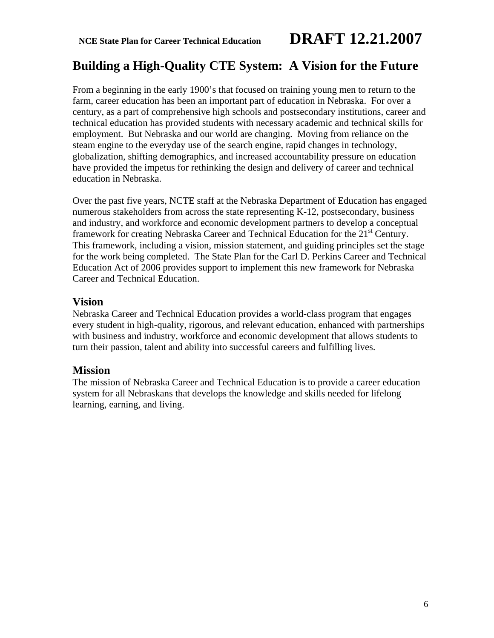### **Building a High-Quality CTE System: A Vision for the Future**

From a beginning in the early 1900's that focused on training young men to return to the farm, career education has been an important part of education in Nebraska. For over a century, as a part of comprehensive high schools and postsecondary institutions, career and technical education has provided students with necessary academic and technical skills for employment. But Nebraska and our world are changing. Moving from reliance on the steam engine to the everyday use of the search engine, rapid changes in technology, globalization, shifting demographics, and increased accountability pressure on education have provided the impetus for rethinking the design and delivery of career and technical education in Nebraska.

Over the past five years, NCTE staff at the Nebraska Department of Education has engaged numerous stakeholders from across the state representing K-12, postsecondary, business and industry, and workforce and economic development partners to develop a conceptual framework for creating Nebraska Career and Technical Education for the 21<sup>st</sup> Century. This framework, including a vision, mission statement, and guiding principles set the stage for the work being completed. The State Plan for the Carl D. Perkins Career and Technical Education Act of 2006 provides support to implement this new framework for Nebraska Career and Technical Education.

### **Vision**

Nebraska Career and Technical Education provides a world-class program that engages every student in high-quality, rigorous, and relevant education, enhanced with partnerships with business and industry, workforce and economic development that allows students to turn their passion, talent and ability into successful careers and fulfilling lives.

### **Mission**

The mission of Nebraska Career and Technical Education is to provide a career education system for all Nebraskans that develops the knowledge and skills needed for lifelong learning, earning, and living.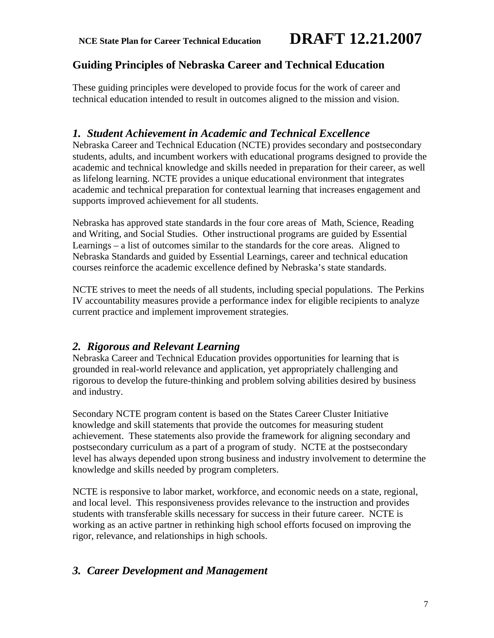### **Guiding Principles of Nebraska Career and Technical Education**

These guiding principles were developed to provide focus for the work of career and technical education intended to result in outcomes aligned to the mission and vision.

### *1. Student Achievement in Academic and Technical Excellence*

Nebraska Career and Technical Education (NCTE) provides secondary and postsecondary students, adults, and incumbent workers with educational programs designed to provide the academic and technical knowledge and skills needed in preparation for their career, as well as lifelong learning. NCTE provides a unique educational environment that integrates academic and technical preparation for contextual learning that increases engagement and supports improved achievement for all students.

Nebraska has approved state standards in the four core areas of Math, Science, Reading and Writing, and Social Studies. Other instructional programs are guided by Essential Learnings – a list of outcomes similar to the standards for the core areas. Aligned to Nebraska Standards and guided by Essential Learnings, career and technical education courses reinforce the academic excellence defined by Nebraska's state standards.

NCTE strives to meet the needs of all students, including special populations. The Perkins IV accountability measures provide a performance index for eligible recipients to analyze current practice and implement improvement strategies.

### *2. Rigorous and Relevant Learning*

Nebraska Career and Technical Education provides opportunities for learning that is grounded in real-world relevance and application, yet appropriately challenging and rigorous to develop the future-thinking and problem solving abilities desired by business and industry.

Secondary NCTE program content is based on the States Career Cluster Initiative knowledge and skill statements that provide the outcomes for measuring student achievement. These statements also provide the framework for aligning secondary and postsecondary curriculum as a part of a program of study. NCTE at the postsecondary level has always depended upon strong business and industry involvement to determine the knowledge and skills needed by program completers.

NCTE is responsive to labor market, workforce, and economic needs on a state, regional, and local level. This responsiveness provides relevance to the instruction and provides students with transferable skills necessary for success in their future career. NCTE is working as an active partner in rethinking high school efforts focused on improving the rigor, relevance, and relationships in high schools.

### *3. Career Development and Management*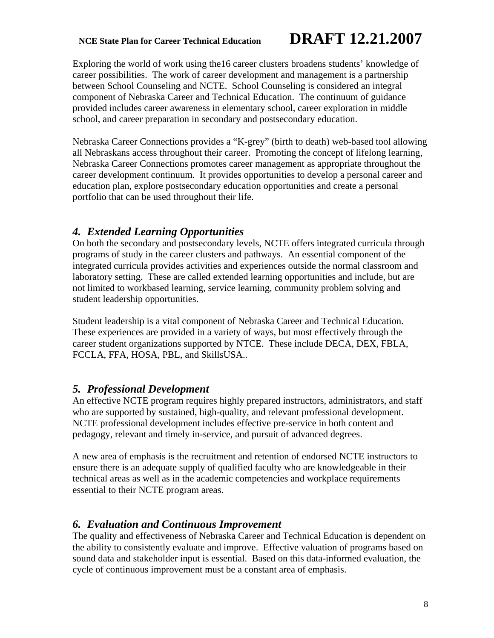Exploring the world of work using the16 career clusters broadens students' knowledge of career possibilities. The work of career development and management is a partnership between School Counseling and NCTE. School Counseling is considered an integral component of Nebraska Career and Technical Education. The continuum of guidance provided includes career awareness in elementary school, career exploration in middle school, and career preparation in secondary and postsecondary education.

Nebraska Career Connections provides a "K-grey" (birth to death) web-based tool allowing all Nebraskans access throughout their career. Promoting the concept of lifelong learning, Nebraska Career Connections promotes career management as appropriate throughout the career development continuum. It provides opportunities to develop a personal career and education plan, explore postsecondary education opportunities and create a personal portfolio that can be used throughout their life.

### *4. Extended Learning Opportunities*

On both the secondary and postsecondary levels, NCTE offers integrated curricula through programs of study in the career clusters and pathways. An essential component of the integrated curricula provides activities and experiences outside the normal classroom and laboratory setting. These are called extended learning opportunities and include, but are not limited to workbased learning, service learning, community problem solving and student leadership opportunities.

Student leadership is a vital component of Nebraska Career and Technical Education. These experiences are provided in a variety of ways, but most effectively through the career student organizations supported by NTCE. These include DECA, DEX, FBLA, FCCLA, FFA, HOSA, PBL, and SkillsUSA..

### *5. Professional Development*

An effective NCTE program requires highly prepared instructors, administrators, and staff who are supported by sustained, high-quality, and relevant professional development. NCTE professional development includes effective pre-service in both content and pedagogy, relevant and timely in-service, and pursuit of advanced degrees.

A new area of emphasis is the recruitment and retention of endorsed NCTE instructors to ensure there is an adequate supply of qualified faculty who are knowledgeable in their technical areas as well as in the academic competencies and workplace requirements essential to their NCTE program areas.

### *6. Evaluation and Continuous Improvement*

The quality and effectiveness of Nebraska Career and Technical Education is dependent on the ability to consistently evaluate and improve. Effective valuation of programs based on sound data and stakeholder input is essential. Based on this data-informed evaluation, the cycle of continuous improvement must be a constant area of emphasis.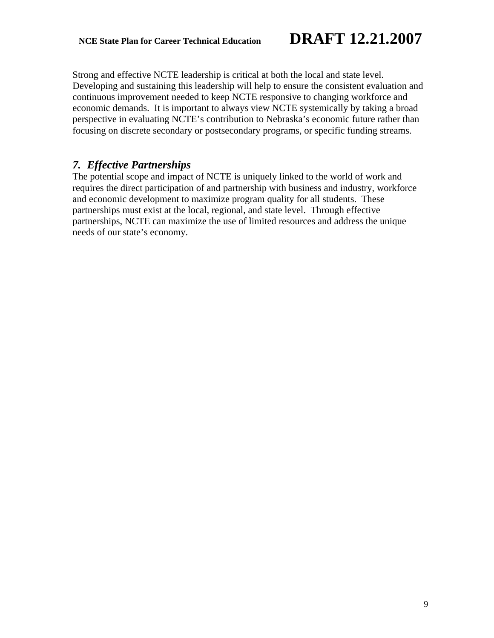Strong and effective NCTE leadership is critical at both the local and state level. Developing and sustaining this leadership will help to ensure the consistent evaluation and continuous improvement needed to keep NCTE responsive to changing workforce and economic demands. It is important to always view NCTE systemically by taking a broad perspective in evaluating NCTE's contribution to Nebraska's economic future rather than focusing on discrete secondary or postsecondary programs, or specific funding streams.

### *7. Effective Partnerships*

The potential scope and impact of NCTE is uniquely linked to the world of work and requires the direct participation of and partnership with business and industry, workforce and economic development to maximize program quality for all students. These partnerships must exist at the local, regional, and state level. Through effective partnerships, NCTE can maximize the use of limited resources and address the unique needs of our state's economy.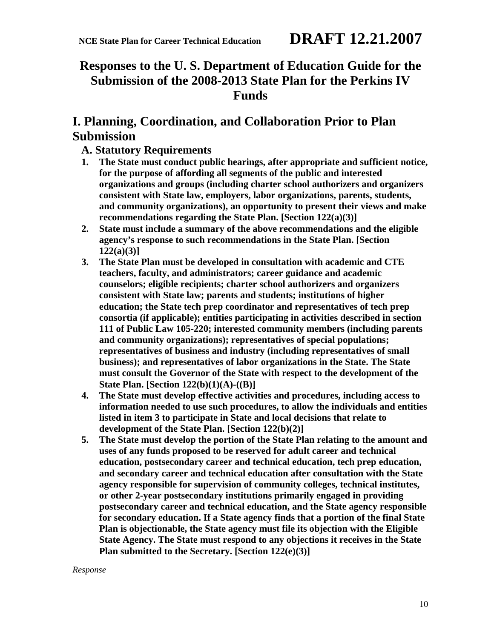### **Responses to the U. S. Department of Education Guide for the Submission of the 2008-2013 State Plan for the Perkins IV Funds**

### **I. Planning, Coordination, and Collaboration Prior to Plan Submission**

### **A. Statutory Requirements**

- **1. The State must conduct public hearings, after appropriate and sufficient notice, for the purpose of affording all segments of the public and interested organizations and groups (including charter school authorizers and organizers consistent with State law, employers, labor organizations, parents, students, and community organizations), an opportunity to present their views and make recommendations regarding the State Plan. [Section 122(a)(3)]**
- **2. State must include a summary of the above recommendations and the eligible agency's response to such recommendations in the State Plan. [Section 122(a)(3)]**
- **3. The State Plan must be developed in consultation with academic and CTE teachers, faculty, and administrators; career guidance and academic counselors; eligible recipients; charter school authorizers and organizers consistent with State law; parents and students; institutions of higher education; the State tech prep coordinator and representatives of tech prep consortia (if applicable); entities participating in activities described in section 111 of Public Law 105-220; interested community members (including parents and community organizations); representatives of special populations; representatives of business and industry (including representatives of small business); and representatives of labor organizations in the State. The State must consult the Governor of the State with respect to the development of the State Plan. [Section 122(b)(1)(A)-((B)]**
- **4. The State must develop effective activities and procedures, including access to information needed to use such procedures, to allow the individuals and entities listed in item 3 to participate in State and local decisions that relate to development of the State Plan. [Section 122(b)(2)]**
- **5. The State must develop the portion of the State Plan relating to the amount and uses of any funds proposed to be reserved for adult career and technical education, postsecondary career and technical education, tech prep education, and secondary career and technical education after consultation with the State agency responsible for supervision of community colleges, technical institutes, or other 2-year postsecondary institutions primarily engaged in providing postsecondary career and technical education, and the State agency responsible for secondary education. If a State agency finds that a portion of the final State Plan is objectionable, the State agency must file its objection with the Eligible State Agency. The State must respond to any objections it receives in the State Plan submitted to the Secretary. [Section 122(e)(3)]**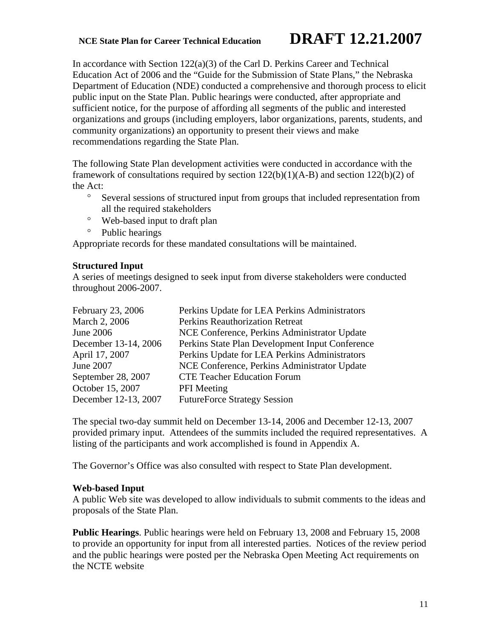In accordance with Section  $122(a)(3)$  of the Carl D. Perkins Career and Technical Education Act of 2006 and the "Guide for the Submission of State Plans," the Nebraska Department of Education (NDE) conducted a comprehensive and thorough process to elicit public input on the State Plan. Public hearings were conducted, after appropriate and sufficient notice, for the purpose of affording all segments of the public and interested organizations and groups (including employers, labor organizations, parents, students, and community organizations) an opportunity to present their views and make recommendations regarding the State Plan.

The following State Plan development activities were conducted in accordance with the framework of consultations required by section  $122(b)(1)(A-B)$  and section  $122(b)(2)$  of the Act:

- ° Several sessions of structured input from groups that included representation from all the required stakeholders
- ° Web-based input to draft plan
- ° Public hearings

Appropriate records for these mandated consultations will be maintained.

### **Structured Input**

A series of meetings designed to seek input from diverse stakeholders were conducted throughout 2006-2007.

| February 23, 2006    | Perkins Update for LEA Perkins Administrators   |
|----------------------|-------------------------------------------------|
| March 2, 2006        | Perkins Reauthorization Retreat                 |
| <b>June 2006</b>     | NCE Conference, Perkins Administrator Update    |
| December 13-14, 2006 | Perkins State Plan Development Input Conference |
| April 17, 2007       | Perkins Update for LEA Perkins Administrators   |
| June 2007            | NCE Conference, Perkins Administrator Update    |
| September 28, 2007   | <b>CTE Teacher Education Forum</b>              |
| October 15, 2007     | <b>PFI</b> Meeting                              |
| December 12-13, 2007 | <b>FutureForce Strategy Session</b>             |

The special two-day summit held on December 13-14, 2006 and December 12-13, 2007 provided primary input. Attendees of the summits included the required representatives. A listing of the participants and work accomplished is found in Appendix A.

The Governor's Office was also consulted with respect to State Plan development.

### **Web-based Input**

A public Web site was developed to allow individuals to submit comments to the ideas and proposals of the State Plan.

**Public Hearings**. Public hearings were held on February 13, 2008 and February 15, 2008 to provide an opportunity for input from all interested parties. Notices of the review period and the public hearings were posted per the Nebraska Open Meeting Act requirements on the NCTE website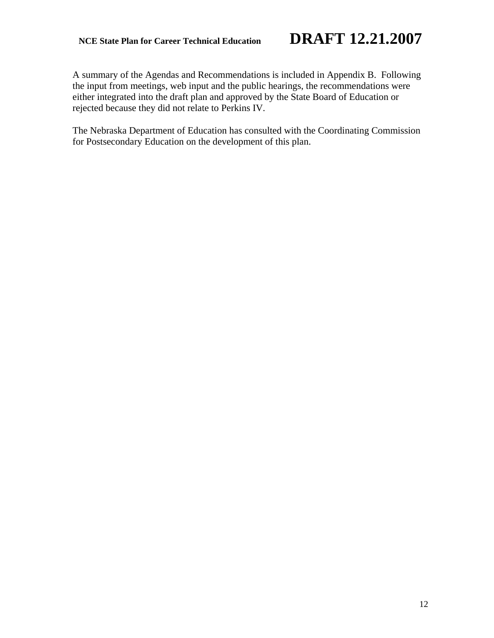A summary of the Agendas and Recommendations is included in Appendix B. Following the input from meetings, web input and the public hearings, the recommendations were either integrated into the draft plan and approved by the State Board of Education or rejected because they did not relate to Perkins IV.

The Nebraska Department of Education has consulted with the Coordinating Commission for Postsecondary Education on the development of this plan.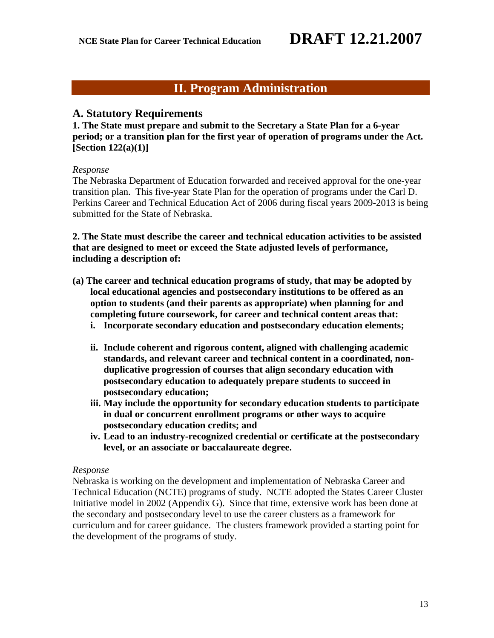### **II. Program Administration**

### **A. Statutory Requirements**

**1. The State must prepare and submit to the Secretary a State Plan for a 6-year period; or a transition plan for the first year of operation of programs under the Act. [Section 122(a)(1)]** 

#### *Response*

The Nebraska Department of Education forwarded and received approval for the one-year transition plan. This five-year State Plan for the operation of programs under the Carl D. Perkins Career and Technical Education Act of 2006 during fiscal years 2009-2013 is being submitted for the State of Nebraska.

**2. The State must describe the career and technical education activities to be assisted that are designed to meet or exceed the State adjusted levels of performance, including a description of:** 

- **(a) The career and technical education programs of study, that may be adopted by local educational agencies and postsecondary institutions to be offered as an option to students (and their parents as appropriate) when planning for and completing future coursework, for career and technical content areas that:** 
	- **i. Incorporate secondary education and postsecondary education elements;**
	- **ii. Include coherent and rigorous content, aligned with challenging academic standards, and relevant career and technical content in a coordinated, nonduplicative progression of courses that align secondary education with postsecondary education to adequately prepare students to succeed in postsecondary education;**
	- **iii. May include the opportunity for secondary education students to participate in dual or concurrent enrollment programs or other ways to acquire postsecondary education credits; and**
	- **iv. Lead to an industry-recognized credential or certificate at the postsecondary level, or an associate or baccalaureate degree.**

#### *Response*

Nebraska is working on the development and implementation of Nebraska Career and Technical Education (NCTE) programs of study. NCTE adopted the States Career Cluster Initiative model in 2002 (Appendix G). Since that time, extensive work has been done at the secondary and postsecondary level to use the career clusters as a framework for curriculum and for career guidance. The clusters framework provided a starting point for the development of the programs of study.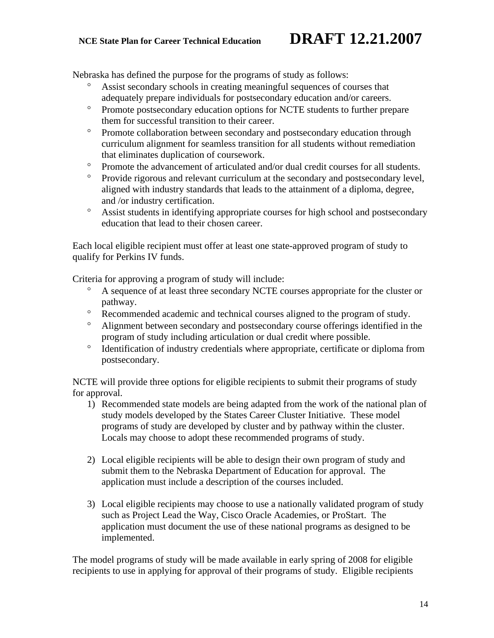Nebraska has defined the purpose for the programs of study as follows:

- Assist secondary schools in creating meaningful sequences of courses that adequately prepare individuals for postsecondary education and/or careers.
- ° Promote postsecondary education options for NCTE students to further prepare them for successful transition to their career.
- ° Promote collaboration between secondary and postsecondary education through curriculum alignment for seamless transition for all students without remediation that eliminates duplication of coursework.
- ° Promote the advancement of articulated and/or dual credit courses for all students.
- ° Provide rigorous and relevant curriculum at the secondary and postsecondary level, aligned with industry standards that leads to the attainment of a diploma, degree, and /or industry certification.
- ° Assist students in identifying appropriate courses for high school and postsecondary education that lead to their chosen career.

Each local eligible recipient must offer at least one state-approved program of study to qualify for Perkins IV funds.

Criteria for approving a program of study will include:

- ° A sequence of at least three secondary NCTE courses appropriate for the cluster or pathway.
- ° Recommended academic and technical courses aligned to the program of study.
- ° Alignment between secondary and postsecondary course offerings identified in the program of study including articulation or dual credit where possible.
- ° Identification of industry credentials where appropriate, certificate or diploma from postsecondary.

NCTE will provide three options for eligible recipients to submit their programs of study for approval.

- 1) Recommended state models are being adapted from the work of the national plan of study models developed by the States Career Cluster Initiative. These model programs of study are developed by cluster and by pathway within the cluster. Locals may choose to adopt these recommended programs of study.
- 2) Local eligible recipients will be able to design their own program of study and submit them to the Nebraska Department of Education for approval. The application must include a description of the courses included.
- 3) Local eligible recipients may choose to use a nationally validated program of study such as Project Lead the Way, Cisco Oracle Academies, or ProStart. The application must document the use of these national programs as designed to be implemented.

The model programs of study will be made available in early spring of 2008 for eligible recipients to use in applying for approval of their programs of study. Eligible recipients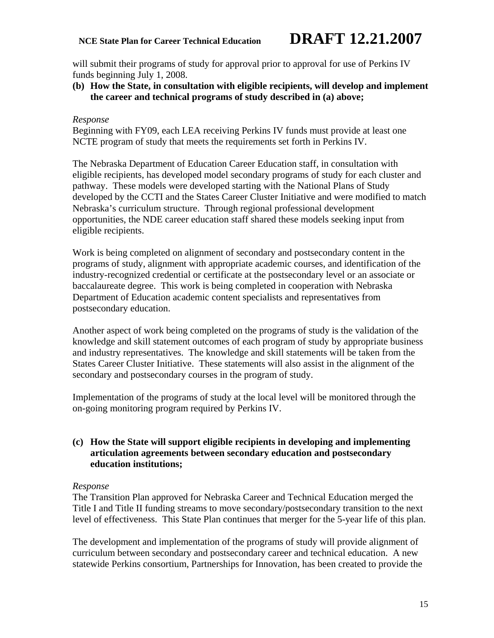will submit their programs of study for approval prior to approval for use of Perkins IV funds beginning July 1, 2008.

### **(b) How the State, in consultation with eligible recipients, will develop and implement the career and technical programs of study described in (a) above;**

### *Response*

Beginning with FY09, each LEA receiving Perkins IV funds must provide at least one NCTE program of study that meets the requirements set forth in Perkins IV.

The Nebraska Department of Education Career Education staff, in consultation with eligible recipients, has developed model secondary programs of study for each cluster and pathway. These models were developed starting with the National Plans of Study developed by the CCTI and the States Career Cluster Initiative and were modified to match Nebraska's curriculum structure. Through regional professional development opportunities, the NDE career education staff shared these models seeking input from eligible recipients.

Work is being completed on alignment of secondary and postsecondary content in the programs of study, alignment with appropriate academic courses, and identification of the industry-recognized credential or certificate at the postsecondary level or an associate or baccalaureate degree. This work is being completed in cooperation with Nebraska Department of Education academic content specialists and representatives from postsecondary education.

Another aspect of work being completed on the programs of study is the validation of the knowledge and skill statement outcomes of each program of study by appropriate business and industry representatives. The knowledge and skill statements will be taken from the States Career Cluster Initiative. These statements will also assist in the alignment of the secondary and postsecondary courses in the program of study.

Implementation of the programs of study at the local level will be monitored through the on-going monitoring program required by Perkins IV.

### **(c) How the State will support eligible recipients in developing and implementing articulation agreements between secondary education and postsecondary education institutions;**

### *Response*

The Transition Plan approved for Nebraska Career and Technical Education merged the Title I and Title II funding streams to move secondary/postsecondary transition to the next level of effectiveness. This State Plan continues that merger for the 5-year life of this plan.

The development and implementation of the programs of study will provide alignment of curriculum between secondary and postsecondary career and technical education. A new statewide Perkins consortium, Partnerships for Innovation, has been created to provide the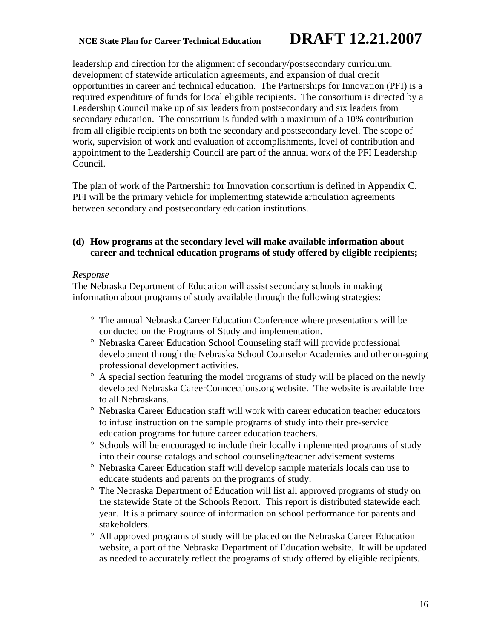leadership and direction for the alignment of secondary/postsecondary curriculum, development of statewide articulation agreements, and expansion of dual credit opportunities in career and technical education. The Partnerships for Innovation (PFI) is a required expenditure of funds for local eligible recipients. The consortium is directed by a Leadership Council make up of six leaders from postsecondary and six leaders from secondary education. The consortium is funded with a maximum of a 10% contribution from all eligible recipients on both the secondary and postsecondary level. The scope of work, supervision of work and evaluation of accomplishments, level of contribution and appointment to the Leadership Council are part of the annual work of the PFI Leadership Council.

The plan of work of the Partnership for Innovation consortium is defined in Appendix C. PFI will be the primary vehicle for implementing statewide articulation agreements between secondary and postsecondary education institutions.

### **(d) How programs at the secondary level will make available information about career and technical education programs of study offered by eligible recipients;**

### *Response*

The Nebraska Department of Education will assist secondary schools in making information about programs of study available through the following strategies:

- ° The annual Nebraska Career Education Conference where presentations will be conducted on the Programs of Study and implementation.
- ° Nebraska Career Education School Counseling staff will provide professional development through the Nebraska School Counselor Academies and other on-going professional development activities.
- ° A special section featuring the model programs of study will be placed on the newly developed Nebraska CareerConncections.org website. The website is available free to all Nebraskans.
- ° Nebraska Career Education staff will work with career education teacher educators to infuse instruction on the sample programs of study into their pre-service education programs for future career education teachers.
- ° Schools will be encouraged to include their locally implemented programs of study into their course catalogs and school counseling/teacher advisement systems.
- ° Nebraska Career Education staff will develop sample materials locals can use to educate students and parents on the programs of study.
- ° The Nebraska Department of Education will list all approved programs of study on the statewide State of the Schools Report. This report is distributed statewide each year. It is a primary source of information on school performance for parents and stakeholders.
- ° All approved programs of study will be placed on the Nebraska Career Education website, a part of the Nebraska Department of Education website. It will be updated as needed to accurately reflect the programs of study offered by eligible recipients.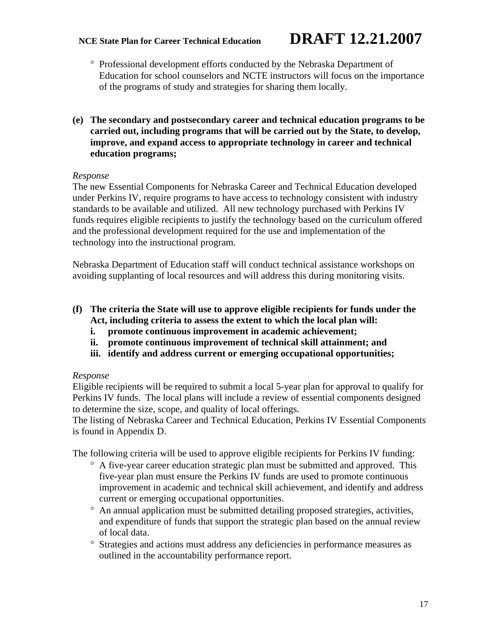° Professional development efforts conducted by the Nebraska Department of Education for school counselors and NCTE instructors will focus on the importance of the programs of study and strategies for sharing them locally.

### **(e) The secondary and postsecondary career and technical education programs to be carried out, including programs that will be carried out by the State, to develop, improve, and expand access to appropriate technology in career and technical education programs;**

### *Response*

The new Essential Components for Nebraska Career and Technical Education developed under Perkins IV, require programs to have access to technology consistent with industry standards to be available and utilized. All new technology purchased with Perkins IV funds requires eligible recipients to justify the technology based on the curriculum offered and the professional development required for the use and implementation of the technology into the instructional program.

Nebraska Department of Education staff will conduct technical assistance workshops on avoiding supplanting of local resources and will address this during monitoring visits.

### **(f) The criteria the State will use to approve eligible recipients for funds under the Act, including criteria to assess the extent to which the local plan will:**

- **i. promote continuous improvement in academic achievement;**
- **ii. promote continuous improvement of technical skill attainment; and**
- **iii. identify and address current or emerging occupational opportunities;**

### *Response*

Eligible recipients will be required to submit a local 5-year plan for approval to qualify for Perkins IV funds. The local plans will include a review of essential components designed to determine the size, scope, and quality of local offerings.

The listing of Nebraska Career and Technical Education, Perkins IV Essential Components is found in Appendix D.

The following criteria will be used to approve eligible recipients for Perkins IV funding:

- ° A five-year career education strategic plan must be submitted and approved. This five-year plan must ensure the Perkins IV funds are used to promote continuous improvement in academic and technical skill achievement, and identify and address current or emerging occupational opportunities.
- ° An annual application must be submitted detailing proposed strategies, activities, and expenditure of funds that support the strategic plan based on the annual review of local data.
- ° Strategies and actions must address any deficiencies in performance measures as outlined in the accountability performance report.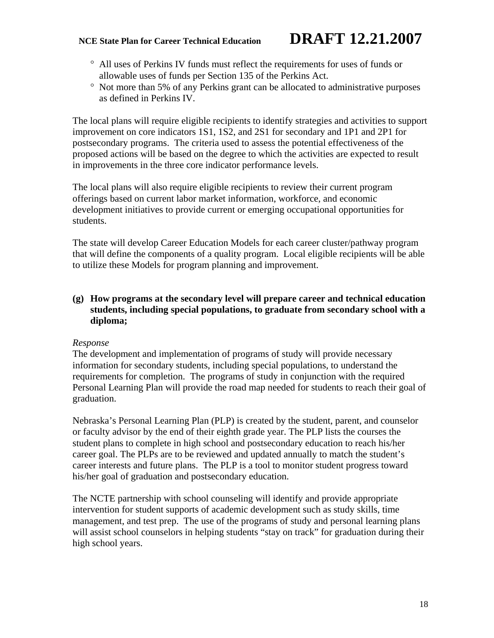- ° All uses of Perkins IV funds must reflect the requirements for uses of funds or allowable uses of funds per Section 135 of the Perkins Act.
- ° Not more than 5% of any Perkins grant can be allocated to administrative purposes as defined in Perkins IV.

The local plans will require eligible recipients to identify strategies and activities to support improvement on core indicators 1S1, 1S2, and 2S1 for secondary and 1P1 and 2P1 for postsecondary programs. The criteria used to assess the potential effectiveness of the proposed actions will be based on the degree to which the activities are expected to result in improvements in the three core indicator performance levels.

The local plans will also require eligible recipients to review their current program offerings based on current labor market information, workforce, and economic development initiatives to provide current or emerging occupational opportunities for students.

The state will develop Career Education Models for each career cluster/pathway program that will define the components of a quality program. Local eligible recipients will be able to utilize these Models for program planning and improvement.

### **(g) How programs at the secondary level will prepare career and technical education students, including special populations, to graduate from secondary school with a diploma;**

### *Response*

The development and implementation of programs of study will provide necessary information for secondary students, including special populations, to understand the requirements for completion. The programs of study in conjunction with the required Personal Learning Plan will provide the road map needed for students to reach their goal of graduation.

Nebraska's Personal Learning Plan (PLP) is created by the student, parent, and counselor or faculty advisor by the end of their eighth grade year. The PLP lists the courses the student plans to complete in high school and postsecondary education to reach his/her career goal. The PLPs are to be reviewed and updated annually to match the student's career interests and future plans. The PLP is a tool to monitor student progress toward his/her goal of graduation and postsecondary education.

The NCTE partnership with school counseling will identify and provide appropriate intervention for student supports of academic development such as study skills, time management, and test prep. The use of the programs of study and personal learning plans will assist school counselors in helping students "stay on track" for graduation during their high school years.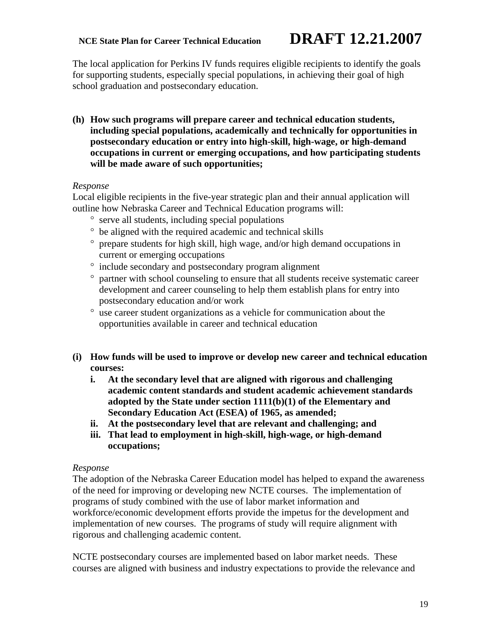The local application for Perkins IV funds requires eligible recipients to identify the goals for supporting students, especially special populations, in achieving their goal of high school graduation and postsecondary education.

**(h) How such programs will prepare career and technical education students, including special populations, academically and technically for opportunities in postsecondary education or entry into high-skill, high-wage, or high-demand occupations in current or emerging occupations, and how participating students will be made aware of such opportunities;** 

### *Response*

Local eligible recipients in the five-year strategic plan and their annual application will outline how Nebraska Career and Technical Education programs will:

- ° serve all students, including special populations
- ° be aligned with the required academic and technical skills
- ° prepare students for high skill, high wage, and/or high demand occupations in current or emerging occupations
- ° include secondary and postsecondary program alignment
- ° partner with school counseling to ensure that all students receive systematic career development and career counseling to help them establish plans for entry into postsecondary education and/or work
- ° use career student organizations as a vehicle for communication about the opportunities available in career and technical education
- **(i) How funds will be used to improve or develop new career and technical education courses:** 
	- **i. At the secondary level that are aligned with rigorous and challenging academic content standards and student academic achievement standards adopted by the State under section 1111(b)(1) of the Elementary and Secondary Education Act (ESEA) of 1965, as amended;**
	- **ii. At the postsecondary level that are relevant and challenging; and**
	- **iii. That lead to employment in high-skill, high-wage, or high-demand occupations;**

### *Response*

The adoption of the Nebraska Career Education model has helped to expand the awareness of the need for improving or developing new NCTE courses. The implementation of programs of study combined with the use of labor market information and workforce/economic development efforts provide the impetus for the development and implementation of new courses. The programs of study will require alignment with rigorous and challenging academic content.

NCTE postsecondary courses are implemented based on labor market needs. These courses are aligned with business and industry expectations to provide the relevance and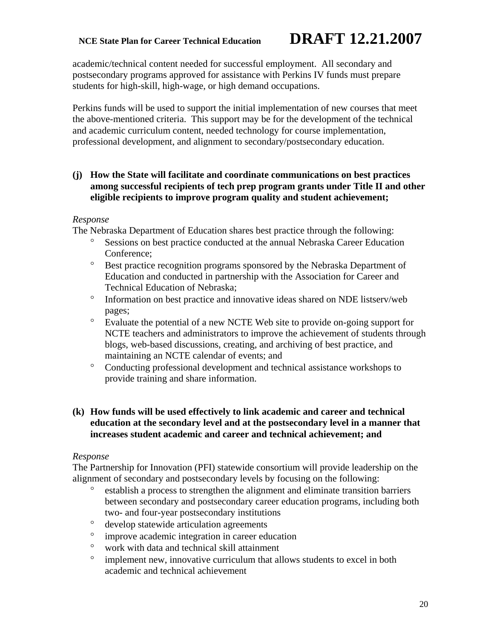academic/technical content needed for successful employment. All secondary and postsecondary programs approved for assistance with Perkins IV funds must prepare students for high-skill, high-wage, or high demand occupations.

Perkins funds will be used to support the initial implementation of new courses that meet the above-mentioned criteria. This support may be for the development of the technical and academic curriculum content, needed technology for course implementation, professional development, and alignment to secondary/postsecondary education.

### **(j) How the State will facilitate and coordinate communications on best practices among successful recipients of tech prep program grants under Title II and other eligible recipients to improve program quality and student achievement;**

### *Response*

The Nebraska Department of Education shares best practice through the following:

- ° Sessions on best practice conducted at the annual Nebraska Career Education Conference;
- ° Best practice recognition programs sponsored by the Nebraska Department of Education and conducted in partnership with the Association for Career and Technical Education of Nebraska;
- ° Information on best practice and innovative ideas shared on NDE listserv/web pages;
- ° Evaluate the potential of a new NCTE Web site to provide on-going support for NCTE teachers and administrators to improve the achievement of students through blogs, web-based discussions, creating, and archiving of best practice, and maintaining an NCTE calendar of events; and
- ° Conducting professional development and technical assistance workshops to provide training and share information.
- **(k) How funds will be used effectively to link academic and career and technical education at the secondary level and at the postsecondary level in a manner that increases student academic and career and technical achievement; and**

### *Response*

The Partnership for Innovation (PFI) statewide consortium will provide leadership on the alignment of secondary and postsecondary levels by focusing on the following:

- ° establish a process to strengthen the alignment and eliminate transition barriers between secondary and postsecondary career education programs, including both two- and four-year postsecondary institutions
- ° develop statewide articulation agreements
- ° improve academic integration in career education
- ° work with data and technical skill attainment
- ° implement new, innovative curriculum that allows students to excel in both academic and technical achievement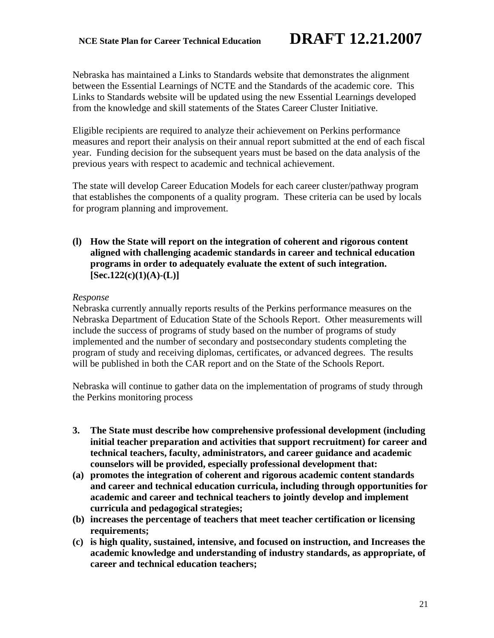Nebraska has maintained a Links to Standards website that demonstrates the alignment between the Essential Learnings of NCTE and the Standards of the academic core. This Links to Standards website will be updated using the new Essential Learnings developed from the knowledge and skill statements of the States Career Cluster Initiative.

Eligible recipients are required to analyze their achievement on Perkins performance measures and report their analysis on their annual report submitted at the end of each fiscal year. Funding decision for the subsequent years must be based on the data analysis of the previous years with respect to academic and technical achievement.

The state will develop Career Education Models for each career cluster/pathway program that establishes the components of a quality program. These criteria can be used by locals for program planning and improvement.

**(l) How the State will report on the integration of coherent and rigorous content aligned with challenging academic standards in career and technical education programs in order to adequately evaluate the extent of such integration.**   $[Sec.122(c)(1)(A)-L)]$ 

### *Response*

Nebraska currently annually reports results of the Perkins performance measures on the Nebraska Department of Education State of the Schools Report. Other measurements will include the success of programs of study based on the number of programs of study implemented and the number of secondary and postsecondary students completing the program of study and receiving diplomas, certificates, or advanced degrees. The results will be published in both the CAR report and on the State of the Schools Report.

Nebraska will continue to gather data on the implementation of programs of study through the Perkins monitoring process

- **3. The State must describe how comprehensive professional development (including initial teacher preparation and activities that support recruitment) for career and technical teachers, faculty, administrators, and career guidance and academic counselors will be provided, especially professional development that:**
- **(a) promotes the integration of coherent and rigorous academic content standards and career and technical education curricula, including through opportunities for academic and career and technical teachers to jointly develop and implement curricula and pedagogical strategies;**
- **(b) increases the percentage of teachers that meet teacher certification or licensing requirements;**
- **(c) is high quality, sustained, intensive, and focused on instruction, and Increases the academic knowledge and understanding of industry standards, as appropriate, of career and technical education teachers;**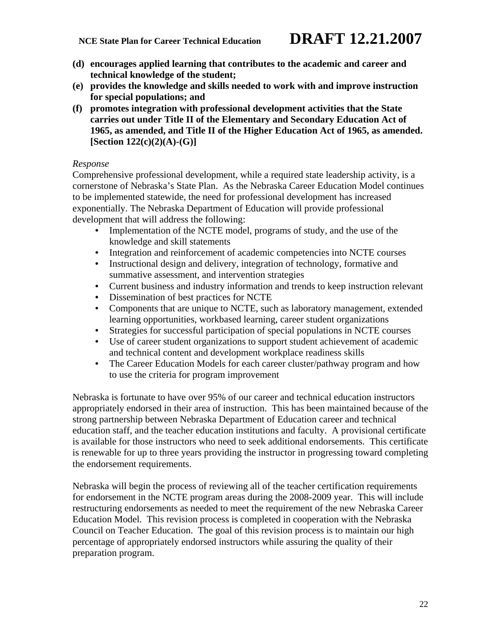- **(d) encourages applied learning that contributes to the academic and career and technical knowledge of the student;**
- **(e) provides the knowledge and skills needed to work with and improve instruction for special populations; and**
- **(f) promotes integration with professional development activities that the State carries out under Title II of the Elementary and Secondary Education Act of 1965, as amended, and Title II of the Higher Education Act of 1965, as amended. [Section 122(c)(2)(A)-(G)]**

### *Response*

Comprehensive professional development, while a required state leadership activity, is a cornerstone of Nebraska's State Plan. As the Nebraska Career Education Model continues to be implemented statewide, the need for professional development has increased exponentially. The Nebraska Department of Education will provide professional development that will address the following:

- Implementation of the NCTE model, programs of study, and the use of the knowledge and skill statements
- y Integration and reinforcement of academic competencies into NCTE courses
- Instructional design and delivery, integration of technology, formative and summative assessment, and intervention strategies
- Current business and industry information and trends to keep instruction relevant
- Dissemination of best practices for NCTE
- Components that are unique to NCTE, such as laboratory management, extended learning opportunities, workbased learning, career student organizations
- Strategies for successful participation of special populations in NCTE courses
- y Use of career student organizations to support student achievement of academic and technical content and development workplace readiness skills
- The Career Education Models for each career cluster/pathway program and how to use the criteria for program improvement

Nebraska is fortunate to have over 95% of our career and technical education instructors appropriately endorsed in their area of instruction. This has been maintained because of the strong partnership between Nebraska Department of Education career and technical education staff, and the teacher education institutions and faculty. A provisional certificate is available for those instructors who need to seek additional endorsements. This certificate is renewable for up to three years providing the instructor in progressing toward completing the endorsement requirements.

Nebraska will begin the process of reviewing all of the teacher certification requirements for endorsement in the NCTE program areas during the 2008-2009 year. This will include restructuring endorsements as needed to meet the requirement of the new Nebraska Career Education Model. This revision process is completed in cooperation with the Nebraska Council on Teacher Education. The goal of this revision process is to maintain our high percentage of appropriately endorsed instructors while assuring the quality of their preparation program.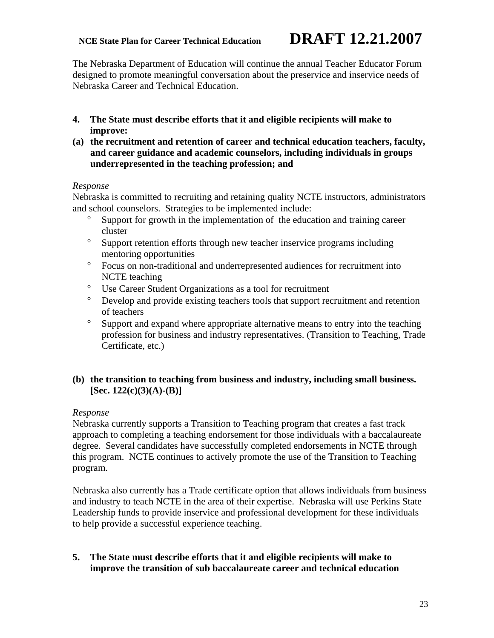The Nebraska Department of Education will continue the annual Teacher Educator Forum designed to promote meaningful conversation about the preservice and inservice needs of Nebraska Career and Technical Education.

- **4. The State must describe efforts that it and eligible recipients will make to improve:**
- **(a) the recruitment and retention of career and technical education teachers, faculty, and career guidance and academic counselors, including individuals in groups underrepresented in the teaching profession; and**

### *Response*

Nebraska is committed to recruiting and retaining quality NCTE instructors, administrators and school counselors. Strategies to be implemented include:

- ° Support for growth in the implementation of the education and training career cluster
- ° Support retention efforts through new teacher inservice programs including mentoring opportunities
- ° Focus on non-traditional and underrepresented audiences for recruitment into NCTE teaching
- ° Use Career Student Organizations as a tool for recruitment
- ° Develop and provide existing teachers tools that support recruitment and retention of teachers
- ° Support and expand where appropriate alternative means to entry into the teaching profession for business and industry representatives. (Transition to Teaching, Trade Certificate, etc.)

### **(b) the transition to teaching from business and industry, including small business. [Sec. 122(c)(3)(A)-(B)]**

### *Response*

Nebraska currently supports a Transition to Teaching program that creates a fast track approach to completing a teaching endorsement for those individuals with a baccalaureate degree. Several candidates have successfully completed endorsements in NCTE through this program. NCTE continues to actively promote the use of the Transition to Teaching program.

Nebraska also currently has a Trade certificate option that allows individuals from business and industry to teach NCTE in the area of their expertise. Nebraska will use Perkins State Leadership funds to provide inservice and professional development for these individuals to help provide a successful experience teaching.

**5. The State must describe efforts that it and eligible recipients will make to improve the transition of sub baccalaureate career and technical education**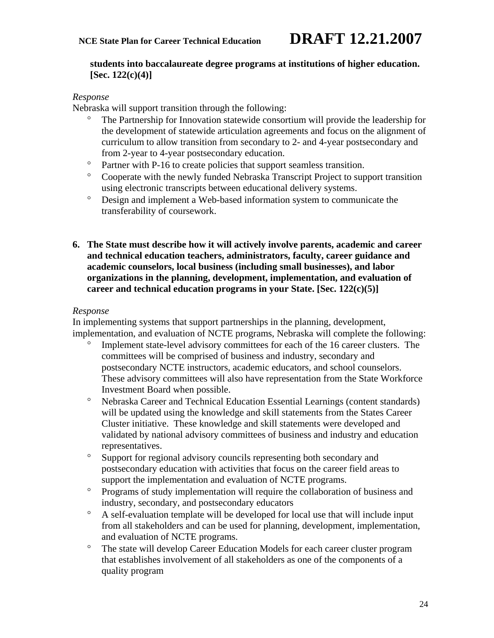### **students into baccalaureate degree programs at institutions of higher education. [Sec. 122(c)(4)]**

### *Response*

Nebraska will support transition through the following:

- ° The Partnership for Innovation statewide consortium will provide the leadership for the development of statewide articulation agreements and focus on the alignment of curriculum to allow transition from secondary to 2- and 4-year postsecondary and from 2-year to 4-year postsecondary education.
- ° Partner with P-16 to create policies that support seamless transition.
- ° Cooperate with the newly funded Nebraska Transcript Project to support transition using electronic transcripts between educational delivery systems.
- ° Design and implement a Web-based information system to communicate the transferability of coursework.
- **6. The State must describe how it will actively involve parents, academic and career and technical education teachers, administrators, faculty, career guidance and academic counselors, local business (including small businesses), and labor organizations in the planning, development, implementation, and evaluation of career and technical education programs in your State. [Sec. 122(c)(5)]**

### *Response*

In implementing systems that support partnerships in the planning, development, implementation, and evaluation of NCTE programs, Nebraska will complete the following:

- Implement state-level advisory committees for each of the 16 career clusters. The committees will be comprised of business and industry, secondary and postsecondary NCTE instructors, academic educators, and school counselors. These advisory committees will also have representation from the State Workforce Investment Board when possible.
- ° Nebraska Career and Technical Education Essential Learnings (content standards) will be updated using the knowledge and skill statements from the States Career Cluster initiative. These knowledge and skill statements were developed and validated by national advisory committees of business and industry and education representatives.
- ° Support for regional advisory councils representing both secondary and postsecondary education with activities that focus on the career field areas to support the implementation and evaluation of NCTE programs.
- ° Programs of study implementation will require the collaboration of business and industry, secondary, and postsecondary educators
- ° A self-evaluation template will be developed for local use that will include input from all stakeholders and can be used for planning, development, implementation, and evaluation of NCTE programs.
- ° The state will develop Career Education Models for each career cluster program that establishes involvement of all stakeholders as one of the components of a quality program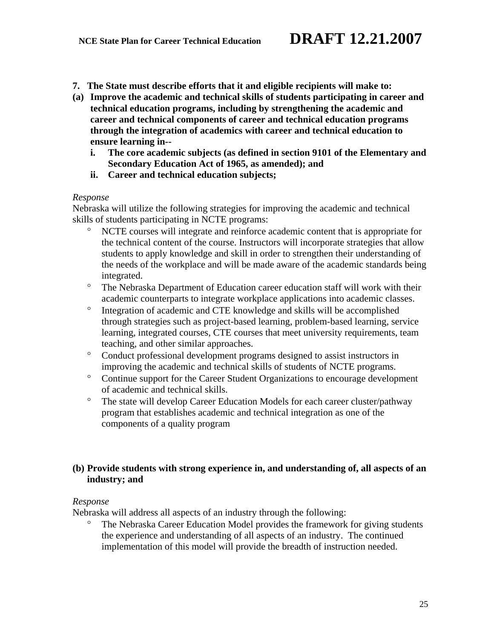- **7. The State must describe efforts that it and eligible recipients will make to:**
- **(a) Improve the academic and technical skills of students participating in career and technical education programs, including by strengthening the academic and career and technical components of career and technical education programs through the integration of academics with career and technical education to ensure learning in-** 
	- **i. The core academic subjects (as defined in section 9101 of the Elementary and Secondary Education Act of 1965, as amended); and**
	- **ii. Career and technical education subjects;**

### *Response*

Nebraska will utilize the following strategies for improving the academic and technical skills of students participating in NCTE programs:

- ° NCTE courses will integrate and reinforce academic content that is appropriate for the technical content of the course. Instructors will incorporate strategies that allow students to apply knowledge and skill in order to strengthen their understanding of the needs of the workplace and will be made aware of the academic standards being integrated.
- ° The Nebraska Department of Education career education staff will work with their academic counterparts to integrate workplace applications into academic classes.
- ° Integration of academic and CTE knowledge and skills will be accomplished through strategies such as project-based learning, problem-based learning, service learning, integrated courses, CTE courses that meet university requirements, team teaching, and other similar approaches.
- ° Conduct professional development programs designed to assist instructors in improving the academic and technical skills of students of NCTE programs.
- ° Continue support for the Career Student Organizations to encourage development of academic and technical skills.
- ° The state will develop Career Education Models for each career cluster/pathway program that establishes academic and technical integration as one of the components of a quality program

### **(b) Provide students with strong experience in, and understanding of, all aspects of an industry; and**

### *Response*

Nebraska will address all aspects of an industry through the following:

° The Nebraska Career Education Model provides the framework for giving students the experience and understanding of all aspects of an industry. The continued implementation of this model will provide the breadth of instruction needed.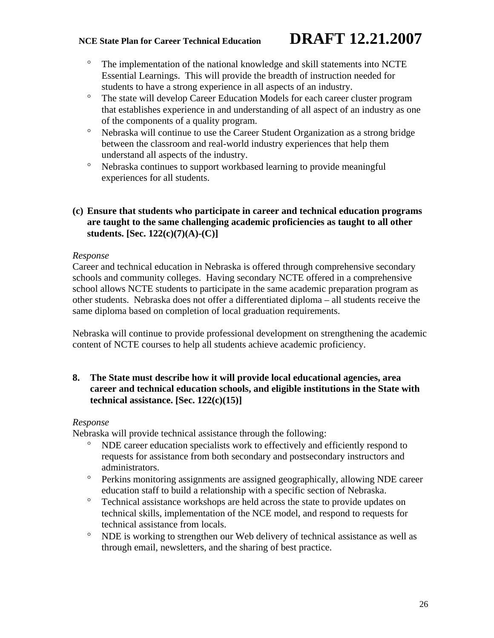- ° The implementation of the national knowledge and skill statements into NCTE Essential Learnings. This will provide the breadth of instruction needed for students to have a strong experience in all aspects of an industry.
- ° The state will develop Career Education Models for each career cluster program that establishes experience in and understanding of all aspect of an industry as one of the components of a quality program.
- ° Nebraska will continue to use the Career Student Organization as a strong bridge between the classroom and real-world industry experiences that help them understand all aspects of the industry.
- ° Nebraska continues to support workbased learning to provide meaningful experiences for all students.

### **(c) Ensure that students who participate in career and technical education programs are taught to the same challenging academic proficiencies as taught to all other students. [Sec. 122(c)(7)(A)-(C)]**

### *Response*

Career and technical education in Nebraska is offered through comprehensive secondary schools and community colleges. Having secondary NCTE offered in a comprehensive school allows NCTE students to participate in the same academic preparation program as other students. Nebraska does not offer a differentiated diploma – all students receive the same diploma based on completion of local graduation requirements.

Nebraska will continue to provide professional development on strengthening the academic content of NCTE courses to help all students achieve academic proficiency.

### **8. The State must describe how it will provide local educational agencies, area career and technical education schools, and eligible institutions in the State with technical assistance. [Sec. 122(c)(15)]**

### *Response*

Nebraska will provide technical assistance through the following:

- ° NDE career education specialists work to effectively and efficiently respond to requests for assistance from both secondary and postsecondary instructors and administrators.
- ° Perkins monitoring assignments are assigned geographically, allowing NDE career education staff to build a relationship with a specific section of Nebraska.
- ° Technical assistance workshops are held across the state to provide updates on technical skills, implementation of the NCE model, and respond to requests for technical assistance from locals.
- ° NDE is working to strengthen our Web delivery of technical assistance as well as through email, newsletters, and the sharing of best practice.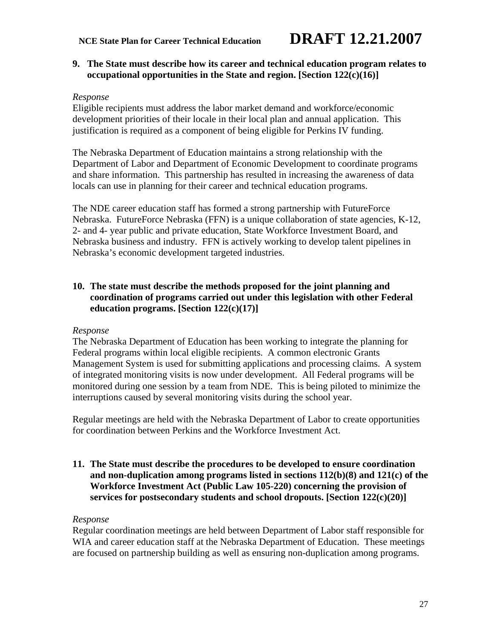### **9. The State must describe how its career and technical education program relates to occupational opportunities in the State and region. [Section 122(c)(16)]**

### *Response*

Eligible recipients must address the labor market demand and workforce/economic development priorities of their locale in their local plan and annual application. This justification is required as a component of being eligible for Perkins IV funding.

The Nebraska Department of Education maintains a strong relationship with the Department of Labor and Department of Economic Development to coordinate programs and share information. This partnership has resulted in increasing the awareness of data locals can use in planning for their career and technical education programs.

The NDE career education staff has formed a strong partnership with FutureForce Nebraska. FutureForce Nebraska (FFN) is a unique collaboration of state agencies, K-12, 2- and 4- year public and private education, State Workforce Investment Board, and Nebraska business and industry. FFN is actively working to develop talent pipelines in Nebraska's economic development targeted industries.

### **10. The state must describe the methods proposed for the joint planning and coordination of programs carried out under this legislation with other Federal education programs. [Section 122(c)(17)]**

### *Response*

The Nebraska Department of Education has been working to integrate the planning for Federal programs within local eligible recipients. A common electronic Grants Management System is used for submitting applications and processing claims. A system of integrated monitoring visits is now under development. All Federal programs will be monitored during one session by a team from NDE. This is being piloted to minimize the interruptions caused by several monitoring visits during the school year.

Regular meetings are held with the Nebraska Department of Labor to create opportunities for coordination between Perkins and the Workforce Investment Act.

**11. The State must describe the procedures to be developed to ensure coordination and non-duplication among programs listed in sections 112(b)(8) and 121(c) of the Workforce Investment Act (Public Law 105-220) concerning the provision of services for postsecondary students and school dropouts. [Section 122(c)(20)]** 

### *Response*

Regular coordination meetings are held between Department of Labor staff responsible for WIA and career education staff at the Nebraska Department of Education. These meetings are focused on partnership building as well as ensuring non-duplication among programs.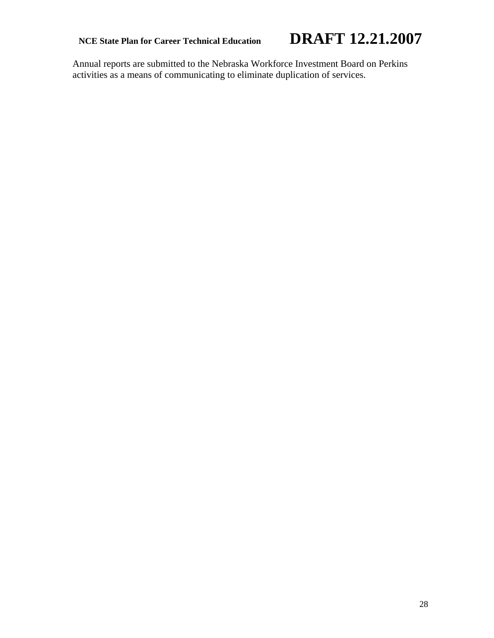Annual reports are submitted to the Nebraska Workforce Investment Board on Perkins activities as a means of communicating to eliminate duplication of services.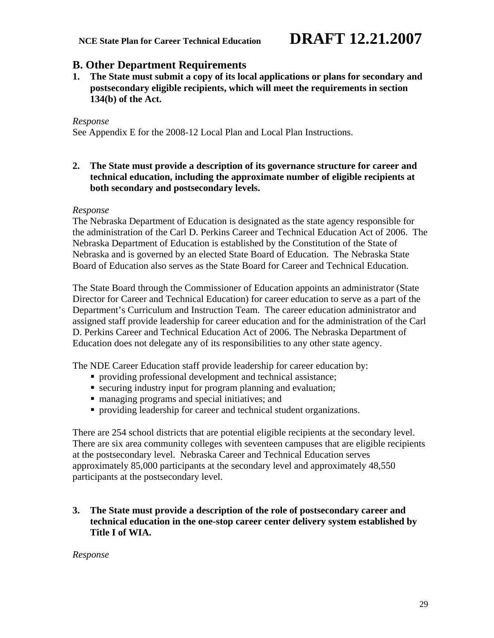### **B. Other Department Requirements**

**1. The State must submit a copy of its local applications or plans for secondary and postsecondary eligible recipients, which will meet the requirements in section 134(b) of the Act.** 

#### *Response*

See Appendix E for the 2008-12 Local Plan and Local Plan Instructions.

**2. The State must provide a description of its governance structure for career and technical education, including the approximate number of eligible recipients at both secondary and postsecondary levels.** 

#### *Response*

The Nebraska Department of Education is designated as the state agency responsible for the administration of the Carl D. Perkins Career and Technical Education Act of 2006. The Nebraska Department of Education is established by the Constitution of the State of Nebraska and is governed by an elected State Board of Education. The Nebraska State Board of Education also serves as the State Board for Career and Technical Education.

The State Board through the Commissioner of Education appoints an administrator (State Director for Career and Technical Education) for career education to serve as a part of the Department's Curriculum and Instruction Team. The career education administrator and assigned staff provide leadership for career education and for the administration of the Carl D. Perkins Career and Technical Education Act of 2006. The Nebraska Department of Education does not delegate any of its responsibilities to any other state agency.

The NDE Career Education staff provide leadership for career education by:

- **providing professional development and technical assistance;**
- securing industry input for program planning and evaluation;
- managing programs and special initiatives; and
- **Peroviding leadership for career and technical student organizations.**

There are 254 school districts that are potential eligible recipients at the secondary level. There are six area community colleges with seventeen campuses that are eligible recipients at the postsecondary level. Nebraska Career and Technical Education serves approximately 85,000 participants at the secondary level and approximately 48,550 participants at the postsecondary level.

**3. The State must provide a description of the role of postsecondary career and technical education in the one-stop career center delivery system established by Title I of WIA.** 

#### *Response*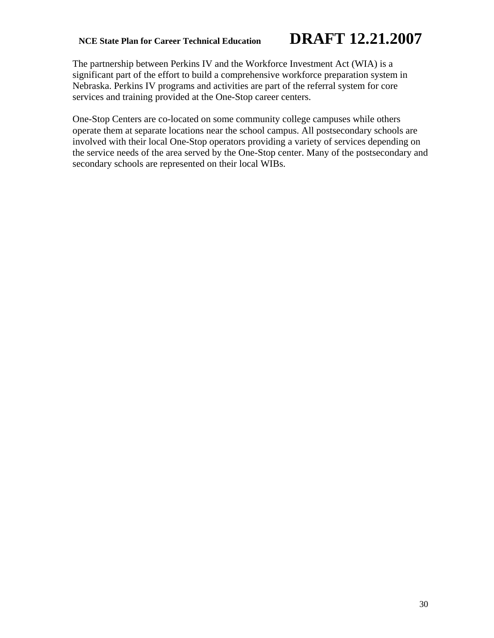The partnership between Perkins IV and the Workforce Investment Act (WIA) is a significant part of the effort to build a comprehensive workforce preparation system in Nebraska. Perkins IV programs and activities are part of the referral system for core services and training provided at the One-Stop career centers.

One-Stop Centers are co-located on some community college campuses while others operate them at separate locations near the school campus. All postsecondary schools are involved with their local One-Stop operators providing a variety of services depending on the service needs of the area served by the One-Stop center. Many of the postsecondary and secondary schools are represented on their local WIBs.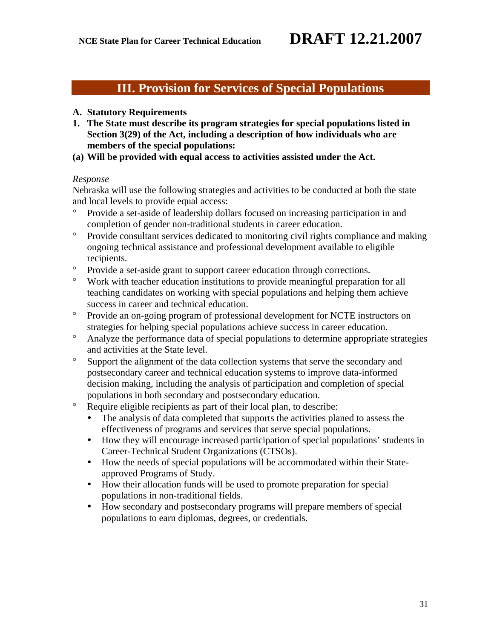### **III. Provision for Services of Special Populations**

### **A. Statutory Requirements**

- **1. The State must describe its program strategies for special populations listed in Section 3(29) of the Act, including a description of how individuals who are members of the special populations:**
- **(a) Will be provided with equal access to activities assisted under the Act.**

### *Response*

Nebraska will use the following strategies and activities to be conducted at both the state and local levels to provide equal access:

- ° Provide a set-aside of leadership dollars focused on increasing participation in and completion of gender non-traditional students in career education.
- ° Provide consultant services dedicated to monitoring civil rights compliance and making ongoing technical assistance and professional development available to eligible recipients.
- ° Provide a set-aside grant to support career education through corrections.
- ° Work with teacher education institutions to provide meaningful preparation for all teaching candidates on working with special populations and helping them achieve success in career and technical education.
- ° Provide an on-going program of professional development for NCTE instructors on strategies for helping special populations achieve success in career education.
- ° Analyze the performance data of special populations to determine appropriate strategies and activities at the State level.
- ° Support the alignment of the data collection systems that serve the secondary and postsecondary career and technical education systems to improve data-informed decision making, including the analysis of participation and completion of special populations in both secondary and postsecondary education.
- ° Require eligible recipients as part of their local plan, to describe:
	- The analysis of data completed that supports the activities planed to assess the effectiveness of programs and services that serve special populations.
	- How they will encourage increased participation of special populations' students in Career-Technical Student Organizations (CTSOs).
	- How the needs of special populations will be accommodated within their Stateapproved Programs of Study.
	- How their allocation funds will be used to promote preparation for special populations in non-traditional fields.
	- How secondary and postsecondary programs will prepare members of special populations to earn diplomas, degrees, or credentials.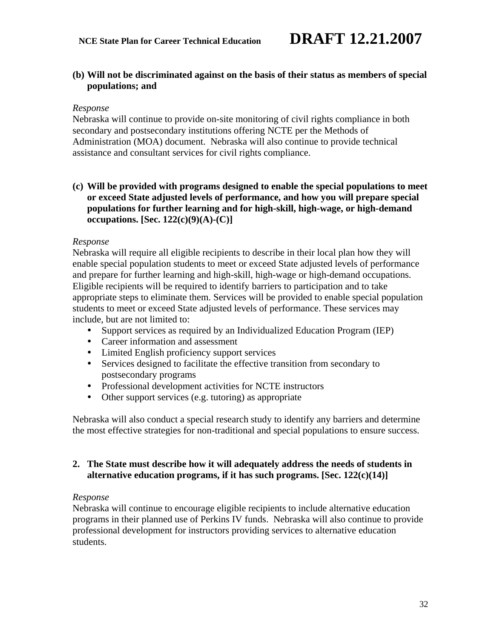### **(b) Will not be discriminated against on the basis of their status as members of special populations; and**

### *Response*

Nebraska will continue to provide on-site monitoring of civil rights compliance in both secondary and postsecondary institutions offering NCTE per the Methods of Administration (MOA) document. Nebraska will also continue to provide technical assistance and consultant services for civil rights compliance.

**(c) Will be provided with programs designed to enable the special populations to meet or exceed State adjusted levels of performance, and how you will prepare special populations for further learning and for high-skill, high-wage, or high-demand occupations. [Sec. 122(c)(9)(A)-(C)]** 

### *Response*

Nebraska will require all eligible recipients to describe in their local plan how they will enable special population students to meet or exceed State adjusted levels of performance and prepare for further learning and high-skill, high-wage or high-demand occupations. Eligible recipients will be required to identify barriers to participation and to take appropriate steps to eliminate them. Services will be provided to enable special population students to meet or exceed State adjusted levels of performance. These services may include, but are not limited to:

- Support services as required by an Individualized Education Program (IEP)
- Career information and assessment
- Limited English proficiency support services
- Services designed to facilitate the effective transition from secondary to postsecondary programs
- Professional development activities for NCTE instructors
- Other support services (e.g. tutoring) as appropriate

Nebraska will also conduct a special research study to identify any barriers and determine the most effective strategies for non-traditional and special populations to ensure success.

### **2. The State must describe how it will adequately address the needs of students in alternative education programs, if it has such programs. [Sec. 122(c)(14)]**

### *Response*

Nebraska will continue to encourage eligible recipients to include alternative education programs in their planned use of Perkins IV funds. Nebraska will also continue to provide professional development for instructors providing services to alternative education students.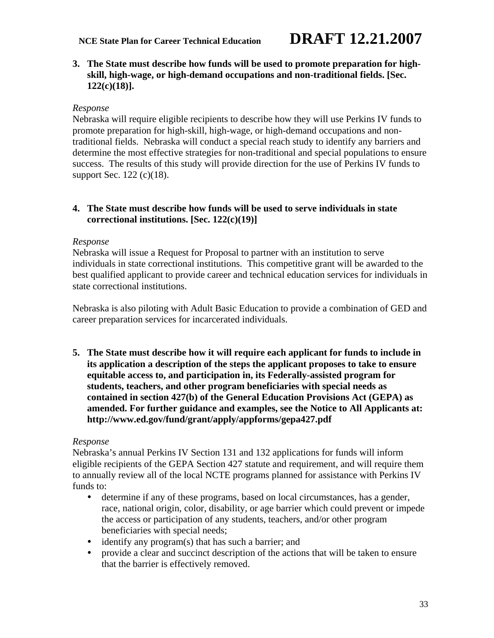**3. The State must describe how funds will be used to promote preparation for highskill, high-wage, or high-demand occupations and non-traditional fields. [Sec. 122(c)(18)].** 

### *Response*

Nebraska will require eligible recipients to describe how they will use Perkins IV funds to promote preparation for high-skill, high-wage, or high-demand occupations and nontraditional fields. Nebraska will conduct a special reach study to identify any barriers and determine the most effective strategies for non-traditional and special populations to ensure success. The results of this study will provide direction for the use of Perkins IV funds to support Sec. 122 (c)(18).

### **4. The State must describe how funds will be used to serve individuals in state correctional institutions. [Sec. 122(c)(19)]**

### *Response*

Nebraska will issue a Request for Proposal to partner with an institution to serve individuals in state correctional institutions. This competitive grant will be awarded to the best qualified applicant to provide career and technical education services for individuals in state correctional institutions.

Nebraska is also piloting with Adult Basic Education to provide a combination of GED and career preparation services for incarcerated individuals.

**5. The State must describe how it will require each applicant for funds to include in its application a description of the steps the applicant proposes to take to ensure equitable access to, and participation in, its Federally-assisted program for students, teachers, and other program beneficiaries with special needs as contained in section 427(b) of the General Education Provisions Act (GEPA) as amended. For further guidance and examples, see the Notice to All Applicants at: http://www.ed.gov/fund/grant/apply/appforms/gepa427.pdf** 

### *Response*

Nebraska's annual Perkins IV Section 131 and 132 applications for funds will inform eligible recipients of the GEPA Section 427 statute and requirement, and will require them to annually review all of the local NCTE programs planned for assistance with Perkins IV funds to:

- y determine if any of these programs, based on local circumstances, has a gender, race, national origin, color, disability, or age barrier which could prevent or impede the access or participation of any students, teachers, and/or other program beneficiaries with special needs;
- $\bullet$  identify any program(s) that has such a barrier; and
- y provide a clear and succinct description of the actions that will be taken to ensure that the barrier is effectively removed.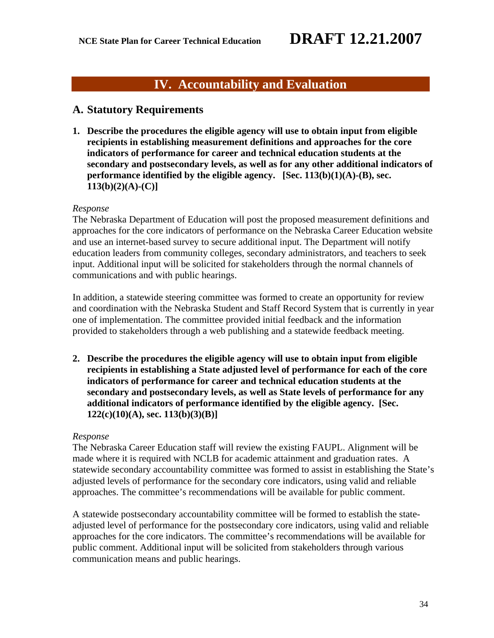### **IV. Accountability and Evaluation**

### **A. Statutory Requirements**

**1. Describe the procedures the eligible agency will use to obtain input from eligible recipients in establishing measurement definitions and approaches for the core indicators of performance for career and technical education students at the secondary and postsecondary levels, as well as for any other additional indicators of performance identified by the eligible agency. [Sec. 113(b)(1)(A)-(B), sec. 113(b)(2)(A)-(C)]** 

### *Response*

The Nebraska Department of Education will post the proposed measurement definitions and approaches for the core indicators of performance on the Nebraska Career Education website and use an internet-based survey to secure additional input. The Department will notify education leaders from community colleges, secondary administrators, and teachers to seek input. Additional input will be solicited for stakeholders through the normal channels of communications and with public hearings.

In addition, a statewide steering committee was formed to create an opportunity for review and coordination with the Nebraska Student and Staff Record System that is currently in year one of implementation. The committee provided initial feedback and the information provided to stakeholders through a web publishing and a statewide feedback meeting.

**2. Describe the procedures the eligible agency will use to obtain input from eligible recipients in establishing a State adjusted level of performance for each of the core indicators of performance for career and technical education students at the secondary and postsecondary levels, as well as State levels of performance for any additional indicators of performance identified by the eligible agency. [Sec. 122(c)(10)(A), sec. 113(b)(3)(B)]** 

### *Response*

The Nebraska Career Education staff will review the existing FAUPL. Alignment will be made where it is required with NCLB for academic attainment and graduation rates. A statewide secondary accountability committee was formed to assist in establishing the State's adjusted levels of performance for the secondary core indicators, using valid and reliable approaches. The committee's recommendations will be available for public comment.

A statewide postsecondary accountability committee will be formed to establish the stateadjusted level of performance for the postsecondary core indicators, using valid and reliable approaches for the core indicators. The committee's recommendations will be available for public comment. Additional input will be solicited from stakeholders through various communication means and public hearings.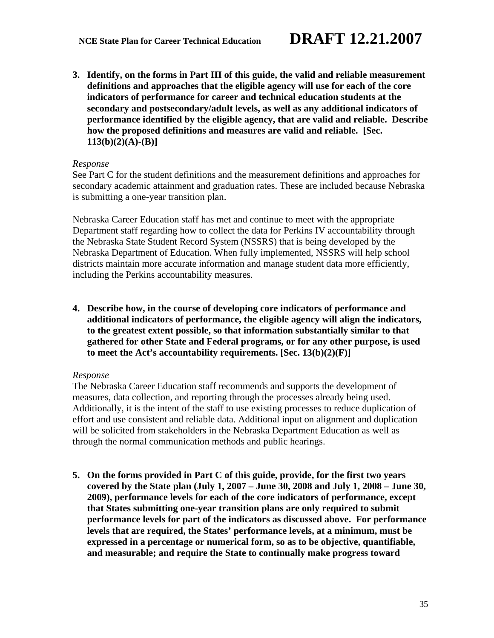**3. Identify, on the forms in Part III of this guide, the valid and reliable measurement definitions and approaches that the eligible agency will use for each of the core indicators of performance for career and technical education students at the secondary and postsecondary/adult levels, as well as any additional indicators of performance identified by the eligible agency, that are valid and reliable. Describe how the proposed definitions and measures are valid and reliable. [Sec. 113(b)(2)(A)-(B)]** 

### *Response*

See Part C for the student definitions and the measurement definitions and approaches for secondary academic attainment and graduation rates. These are included because Nebraska is submitting a one-year transition plan.

Nebraska Career Education staff has met and continue to meet with the appropriate Department staff regarding how to collect the data for Perkins IV accountability through the Nebraska State Student Record System (NSSRS) that is being developed by the Nebraska Department of Education. When fully implemented, NSSRS will help school districts maintain more accurate information and manage student data more efficiently, including the Perkins accountability measures.

**4. Describe how, in the course of developing core indicators of performance and additional indicators of performance, the eligible agency will align the indicators, to the greatest extent possible, so that information substantially similar to that gathered for other State and Federal programs, or for any other purpose, is used to meet the Act's accountability requirements. [Sec. 13(b)(2)(F)]** 

### *Response*

The Nebraska Career Education staff recommends and supports the development of measures, data collection, and reporting through the processes already being used. Additionally, it is the intent of the staff to use existing processes to reduce duplication of effort and use consistent and reliable data. Additional input on alignment and duplication will be solicited from stakeholders in the Nebraska Department Education as well as through the normal communication methods and public hearings.

**5. On the forms provided in Part C of this guide, provide, for the first two years covered by the State plan (July 1, 2007 – June 30, 2008 and July 1, 2008 – June 30, 2009), performance levels for each of the core indicators of performance, except that States submitting one-year transition plans are only required to submit performance levels for part of the indicators as discussed above. For performance levels that are required, the States' performance levels, at a minimum, must be expressed in a percentage or numerical form, so as to be objective, quantifiable, and measurable; and require the State to continually make progress toward**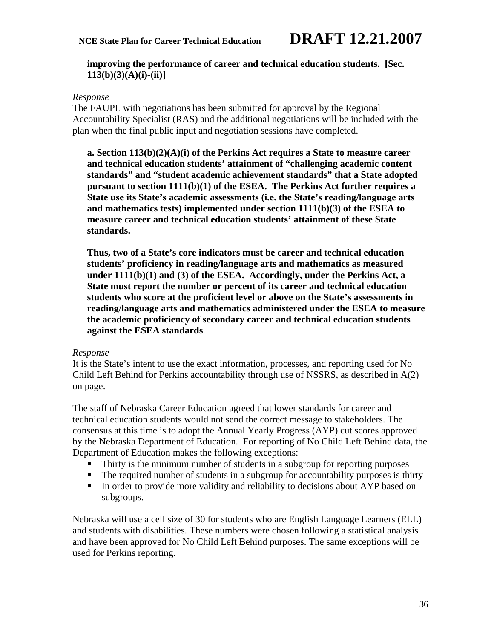### **improving the performance of career and technical education students. [Sec. 113(b)(3)(A)(i)-(ii)]**

#### *Response*

The FAUPL with negotiations has been submitted for approval by the Regional Accountability Specialist (RAS) and the additional negotiations will be included with the plan when the final public input and negotiation sessions have completed.

**a. Section 113(b)(2)(A)(i) of the Perkins Act requires a State to measure career and technical education students' attainment of "challenging academic content standards" and "student academic achievement standards" that a State adopted pursuant to section 1111(b)(1) of the ESEA. The Perkins Act further requires a State use its State's academic assessments (i.e. the State's reading/language arts and mathematics tests) implemented under section 1111(b)(3) of the ESEA to measure career and technical education students' attainment of these State standards.** 

**Thus, two of a State's core indicators must be career and technical education students' proficiency in reading/language arts and mathematics as measured under 1111(b)(1) and (3) of the ESEA. Accordingly, under the Perkins Act, a State must report the number or percent of its career and technical education students who score at the proficient level or above on the State's assessments in reading/language arts and mathematics administered under the ESEA to measure the academic proficiency of secondary career and technical education students against the ESEA standards**.

### *Response*

It is the State's intent to use the exact information, processes, and reporting used for No Child Left Behind for Perkins accountability through use of NSSRS, as described in A(2) on page.

The staff of Nebraska Career Education agreed that lower standards for career and technical education students would not send the correct message to stakeholders. The consensus at this time is to adopt the Annual Yearly Progress (AYP) cut scores approved by the Nebraska Department of Education. For reporting of No Child Left Behind data, the Department of Education makes the following exceptions:

- Thirty is the minimum number of students in a subgroup for reporting purposes
- The required number of students in a subgroup for accountability purposes is thirty
- In order to provide more validity and reliability to decisions about AYP based on subgroups.

Nebraska will use a cell size of 30 for students who are English Language Learners (ELL) and students with disabilities. These numbers were chosen following a statistical analysis and have been approved for No Child Left Behind purposes. The same exceptions will be used for Perkins reporting.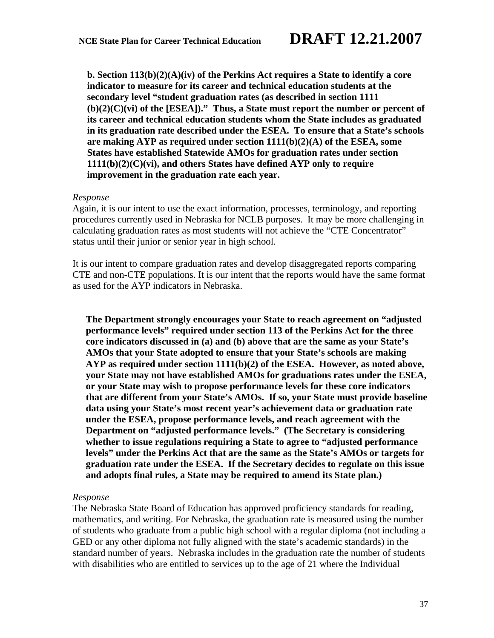**b. Section 113(b)(2)(A)(iv) of the Perkins Act requires a State to identify a core indicator to measure for its career and technical education students at the secondary level "student graduation rates (as described in section 1111 (b)(2)(C)(vi) of the [ESEA])." Thus, a State must report the number or percent of its career and technical education students whom the State includes as graduated in its graduation rate described under the ESEA. To ensure that a State's schools are making AYP as required under section 1111(b)(2)(A) of the ESEA, some States have established Statewide AMOs for graduation rates under section 1111(b)(2)(C)(vi), and others States have defined AYP only to require improvement in the graduation rate each year.** 

#### *Response*

Again, it is our intent to use the exact information, processes, terminology, and reporting procedures currently used in Nebraska for NCLB purposes. It may be more challenging in calculating graduation rates as most students will not achieve the "CTE Concentrator" status until their junior or senior year in high school.

It is our intent to compare graduation rates and develop disaggregated reports comparing CTE and non-CTE populations. It is our intent that the reports would have the same format as used for the AYP indicators in Nebraska.

**The Department strongly encourages your State to reach agreement on "adjusted performance levels" required under section 113 of the Perkins Act for the three core indicators discussed in (a) and (b) above that are the same as your State's AMOs that your State adopted to ensure that your State's schools are making AYP as required under section 1111(b)(2) of the ESEA. However, as noted above, your State may not have established AMOs for graduations rates under the ESEA, or your State may wish to propose performance levels for these core indicators that are different from your State's AMOs. If so, your State must provide baseline data using your State's most recent year's achievement data or graduation rate under the ESEA, propose performance levels, and reach agreement with the Department on "adjusted performance levels." (The Secretary is considering whether to issue regulations requiring a State to agree to "adjusted performance levels" under the Perkins Act that are the same as the State's AMOs or targets for graduation rate under the ESEA. If the Secretary decides to regulate on this issue and adopts final rules, a State may be required to amend its State plan.)** 

#### *Response*

The Nebraska State Board of Education has approved proficiency standards for reading, mathematics, and writing. For Nebraska, the graduation rate is measured using the number of students who graduate from a public high school with a regular diploma (not including a GED or any other diploma not fully aligned with the state's academic standards) in the standard number of years. Nebraska includes in the graduation rate the number of students with disabilities who are entitled to services up to the age of 21 where the Individual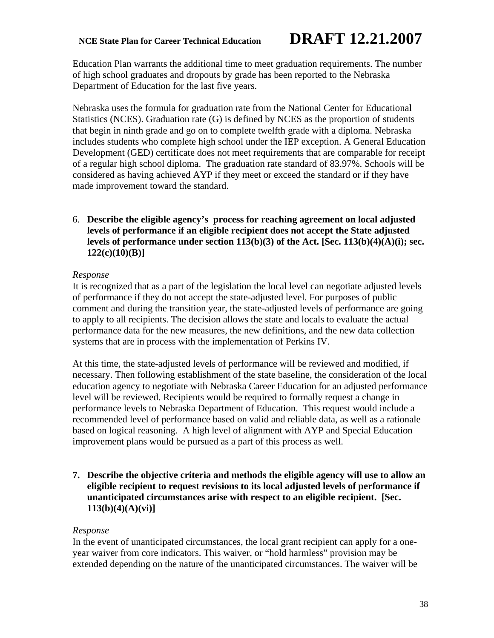Education Plan warrants the additional time to meet graduation requirements. The number of high school graduates and dropouts by grade has been reported to the Nebraska Department of Education for the last five years.

Nebraska uses the formula for graduation rate from the National Center for Educational Statistics (NCES). Graduation rate (G) is defined by NCES as the proportion of students that begin in ninth grade and go on to complete twelfth grade with a diploma. Nebraska includes students who complete high school under the IEP exception. A General Education Development (GED) certificate does not meet requirements that are comparable for receipt of a regular high school diploma. The graduation rate standard of 83.97%. Schools will be considered as having achieved AYP if they meet or exceed the standard or if they have made improvement toward the standard.

6. **Describe the eligible agency's process for reaching agreement on local adjusted levels of performance if an eligible recipient does not accept the State adjusted levels of performance under section 113(b)(3) of the Act. [Sec. 113(b)(4)(A)(i); sec. 122(c)(10)(B)]**

#### *Response*

It is recognized that as a part of the legislation the local level can negotiate adjusted levels of performance if they do not accept the state-adjusted level. For purposes of public comment and during the transition year, the state-adjusted levels of performance are going to apply to all recipients. The decision allows the state and locals to evaluate the actual performance data for the new measures, the new definitions, and the new data collection systems that are in process with the implementation of Perkins IV.

At this time, the state-adjusted levels of performance will be reviewed and modified, if necessary. Then following establishment of the state baseline, the consideration of the local education agency to negotiate with Nebraska Career Education for an adjusted performance level will be reviewed. Recipients would be required to formally request a change in performance levels to Nebraska Department of Education. This request would include a recommended level of performance based on valid and reliable data, as well as a rationale based on logical reasoning. A high level of alignment with AYP and Special Education improvement plans would be pursued as a part of this process as well.

**7. Describe the objective criteria and methods the eligible agency will use to allow an eligible recipient to request revisions to its local adjusted levels of performance if unanticipated circumstances arise with respect to an eligible recipient. [Sec. 113(b)(4)(A)(vi)]**

#### *Response*

In the event of unanticipated circumstances, the local grant recipient can apply for a oneyear waiver from core indicators. This waiver, or "hold harmless" provision may be extended depending on the nature of the unanticipated circumstances. The waiver will be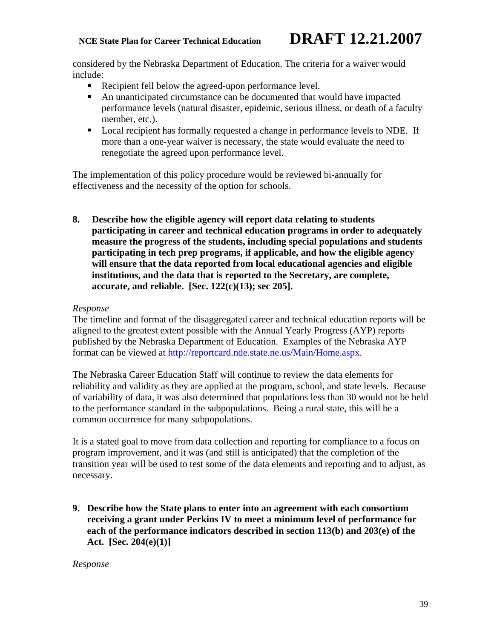considered by the Nebraska Department of Education. The criteria for a waiver would include:

- Recipient fell below the agreed-upon performance level.
- An unanticipated circumstance can be documented that would have impacted performance levels (natural disaster, epidemic, serious illness, or death of a faculty member, etc.).
- Local recipient has formally requested a change in performance levels to NDE. If more than a one-year waiver is necessary, the state would evaluate the need to renegotiate the agreed upon performance level.

The implementation of this policy procedure would be reviewed bi-annually for effectiveness and the necessity of the option for schools.

**8. Describe how the eligible agency will report data relating to students participating in career and technical education programs in order to adequately measure the progress of the students, including special populations and students participating in tech prep programs, if applicable, and how the eligible agency will ensure that the data reported from local educational agencies and eligible institutions, and the data that is reported to the Secretary, are complete, accurate, and reliable. [Sec. 122(c)(13); sec 205].**

#### *Response*

The timeline and format of the disaggregated career and technical education reports will be aligned to the greatest extent possible with the Annual Yearly Progress (AYP) reports published by the Nebraska Department of Education. Examples of the Nebraska AYP format can be viewed at http://reportcard.nde.state.ne.us/Main/Home.aspx.

The Nebraska Career Education Staff will continue to review the data elements for reliability and validity as they are applied at the program, school, and state levels. Because of variability of data, it was also determined that populations less than 30 would not be held to the performance standard in the subpopulations. Being a rural state, this will be a common occurrence for many subpopulations.

It is a stated goal to move from data collection and reporting for compliance to a focus on program improvement, and it was (and still is anticipated) that the completion of the transition year will be used to test some of the data elements and reporting and to adjust, as necessary.

**9. Describe how the State plans to enter into an agreement with each consortium receiving a grant under Perkins IV to meet a minimum level of performance for each of the performance indicators described in section 113(b) and 203(e) of the Act. [Sec. 204(e)(1)]**

*Response*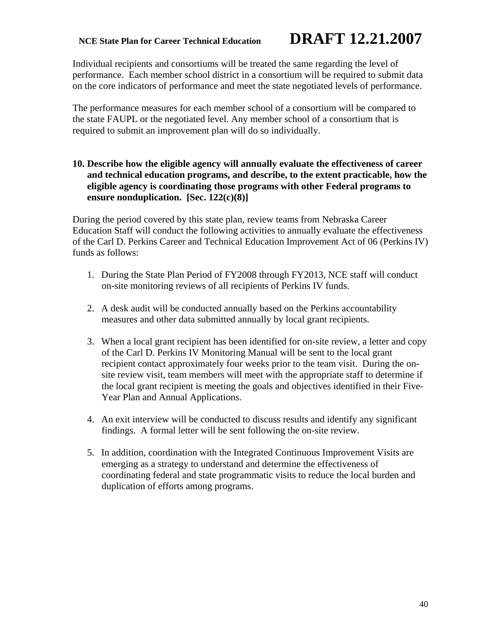Individual recipients and consortiums will be treated the same regarding the level of performance. Each member school district in a consortium will be required to submit data on the core indicators of performance and meet the state negotiated levels of performance.

The performance measures for each member school of a consortium will be compared to the state FAUPL or the negotiated level. Any member school of a consortium that is required to submit an improvement plan will do so individually.

**10. Describe how the eligible agency will annually evaluate the effectiveness of career and technical education programs, and describe, to the extent practicable, how the eligible agency is coordinating those programs with other Federal programs to ensure nonduplication. [Sec. 122(c)(8)]** 

During the period covered by this state plan, review teams from Nebraska Career Education Staff will conduct the following activities to annually evaluate the effectiveness of the Carl D. Perkins Career and Technical Education Improvement Act of 06 (Perkins IV) funds as follows:

- 1. During the State Plan Period of FY2008 through FY2013, NCE staff will conduct on-site monitoring reviews of all recipients of Perkins IV funds.
- 2. A desk audit will be conducted annually based on the Perkins accountability measures and other data submitted annually by local grant recipients.
- 3. When a local grant recipient has been identified for on-site review, a letter and copy of the Carl D. Perkins IV Monitoring Manual will be sent to the local grant recipient contact approximately four weeks prior to the team visit. During the onsite review visit, team members will meet with the appropriate staff to determine if the local grant recipient is meeting the goals and objectives identified in their Five-Year Plan and Annual Applications.
- 4. An exit interview will be conducted to discuss results and identify any significant findings. A formal letter will be sent following the on-site review.
- 5. In addition, coordination with the Integrated Continuous Improvement Visits are emerging as a strategy to understand and determine the effectiveness of coordinating federal and state programmatic visits to reduce the local burden and duplication of efforts among programs.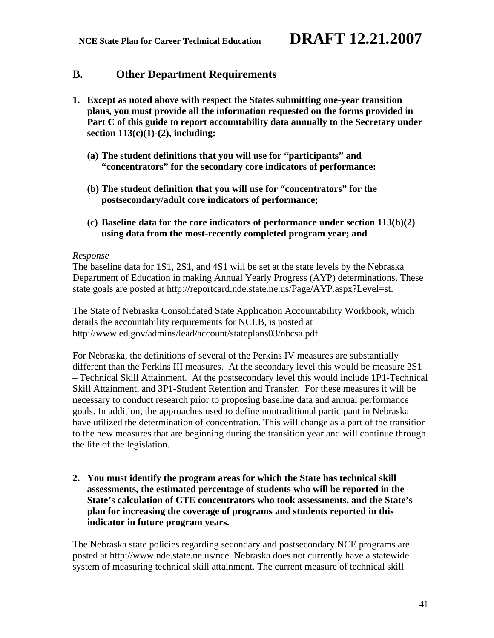#### **B. Other Department Requirements**

- **1. Except as noted above with respect the States submitting one-year transition plans, you must provide all the information requested on the forms provided in Part C of this guide to report accountability data annually to the Secretary under section 113(c)(1)-(2), including:** 
	- **(a) The student definitions that you will use for "participants" and "concentrators" for the secondary core indicators of performance:**
	- **(b) The student definition that you will use for "concentrators" for the postsecondary/adult core indicators of performance;**
	- **(c) Baseline data for the core indicators of performance under section 113(b)(2) using data from the most-recently completed program year; and**

#### *Response*

The baseline data for 1S1, 2S1, and 4S1 will be set at the state levels by the Nebraska Department of Education in making Annual Yearly Progress (AYP) determinations. These state goals are posted at http://reportcard.nde.state.ne.us/Page/AYP.aspx?Level=st.

The State of Nebraska Consolidated State Application Accountability Workbook, which details the accountability requirements for NCLB, is posted at http://www.ed.gov/admins/lead/account/stateplans03/nbcsa.pdf.

For Nebraska, the definitions of several of the Perkins IV measures are substantially different than the Perkins III measures. At the secondary level this would be measure 2S1 – Technical Skill Attainment. At the postsecondary level this would include 1P1-Technical Skill Attainment, and 3P1-Student Retention and Transfer. For these measures it will be necessary to conduct research prior to proposing baseline data and annual performance goals. In addition, the approaches used to define nontraditional participant in Nebraska have utilized the determination of concentration. This will change as a part of the transition to the new measures that are beginning during the transition year and will continue through the life of the legislation.

**2. You must identify the program areas for which the State has technical skill assessments, the estimated percentage of students who will be reported in the State's calculation of CTE concentrators who took assessments, and the State's plan for increasing the coverage of programs and students reported in this indicator in future program years.** 

The Nebraska state policies regarding secondary and postsecondary NCE programs are posted at http://www.nde.state.ne.us/nce. Nebraska does not currently have a statewide system of measuring technical skill attainment. The current measure of technical skill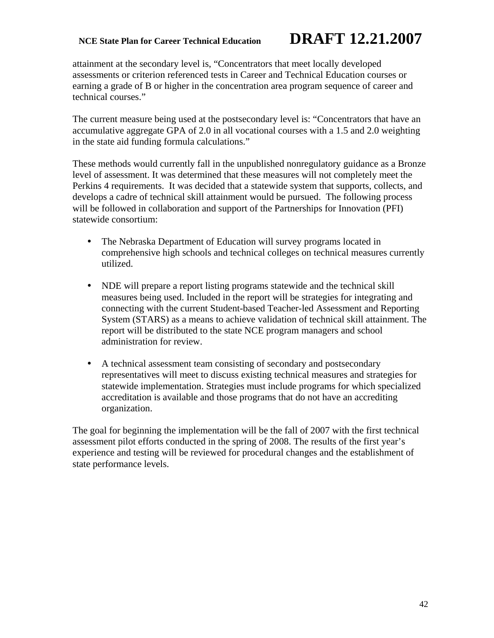attainment at the secondary level is, "Concentrators that meet locally developed assessments or criterion referenced tests in Career and Technical Education courses or earning a grade of B or higher in the concentration area program sequence of career and technical courses."

The current measure being used at the postsecondary level is: "Concentrators that have an accumulative aggregate GPA of 2.0 in all vocational courses with a 1.5 and 2.0 weighting in the state aid funding formula calculations."

These methods would currently fall in the unpublished nonregulatory guidance as a Bronze level of assessment. It was determined that these measures will not completely meet the Perkins 4 requirements. It was decided that a statewide system that supports, collects, and develops a cadre of technical skill attainment would be pursued. The following process will be followed in collaboration and support of the Partnerships for Innovation (PFI) statewide consortium:

- The Nebraska Department of Education will survey programs located in comprehensive high schools and technical colleges on technical measures currently utilized.
- NDE will prepare a report listing programs statewide and the technical skill measures being used. Included in the report will be strategies for integrating and connecting with the current Student-based Teacher-led Assessment and Reporting System (STARS) as a means to achieve validation of technical skill attainment. The report will be distributed to the state NCE program managers and school administration for review.
- A technical assessment team consisting of secondary and postsecondary representatives will meet to discuss existing technical measures and strategies for statewide implementation. Strategies must include programs for which specialized accreditation is available and those programs that do not have an accrediting organization.

The goal for beginning the implementation will be the fall of 2007 with the first technical assessment pilot efforts conducted in the spring of 2008. The results of the first year's experience and testing will be reviewed for procedural changes and the establishment of state performance levels.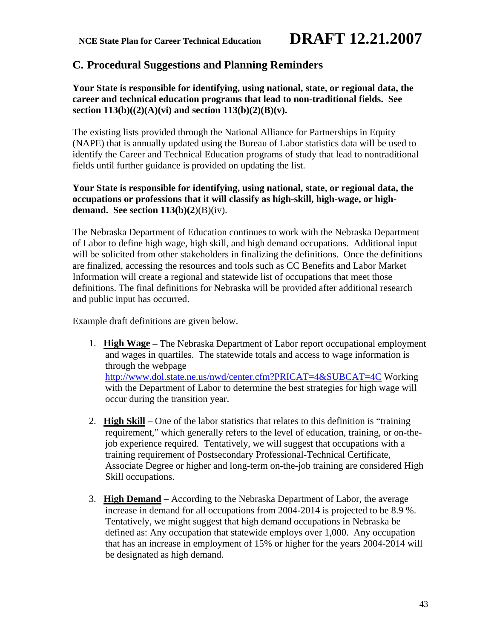### **C. Procedural Suggestions and Planning Reminders**

**Your State is responsible for identifying, using national, state, or regional data, the career and technical education programs that lead to non-traditional fields. See section 113(b)((2)(A)(vi) and section 113(b)(2)(B)(v).** 

The existing lists provided through the National Alliance for Partnerships in Equity (NAPE) that is annually updated using the Bureau of Labor statistics data will be used to identify the Career and Technical Education programs of study that lead to nontraditional fields until further guidance is provided on updating the list.

#### **Your State is responsible for identifying, using national, state, or regional data, the occupations or professions that it will classify as high-skill, high-wage, or highdemand.** See section  $113(b)(2)(B)(iv)$ .

The Nebraska Department of Education continues to work with the Nebraska Department of Labor to define high wage, high skill, and high demand occupations. Additional input will be solicited from other stakeholders in finalizing the definitions. Once the definitions are finalized, accessing the resources and tools such as CC Benefits and Labor Market Information will create a regional and statewide list of occupations that meet those definitions. The final definitions for Nebraska will be provided after additional research and public input has occurred.

Example draft definitions are given below.

- 1. **High Wage** The Nebraska Department of Labor report occupational employment and wages in quartiles. The statewide totals and access to wage information is through the webpage http://www.dol.state.ne.us/nwd/center.cfm?PRICAT=4&SUBCAT=4C Working with the Department of Labor to determine the best strategies for high wage will occur during the transition year.
- 2. **High Skill** One of the labor statistics that relates to this definition is "training requirement," which generally refers to the level of education, training, or on-thejob experience required. Tentatively, we will suggest that occupations with a training requirement of Postsecondary Professional-Technical Certificate, Associate Degree or higher and long-term on-the-job training are considered High Skill occupations.
- 3. **High Demand** According to the Nebraska Department of Labor, the average increase in demand for all occupations from 2004-2014 is projected to be 8.9 %. Tentatively, we might suggest that high demand occupations in Nebraska be defined as: Any occupation that statewide employs over 1,000. Any occupation that has an increase in employment of 15% or higher for the years 2004-2014 will be designated as high demand.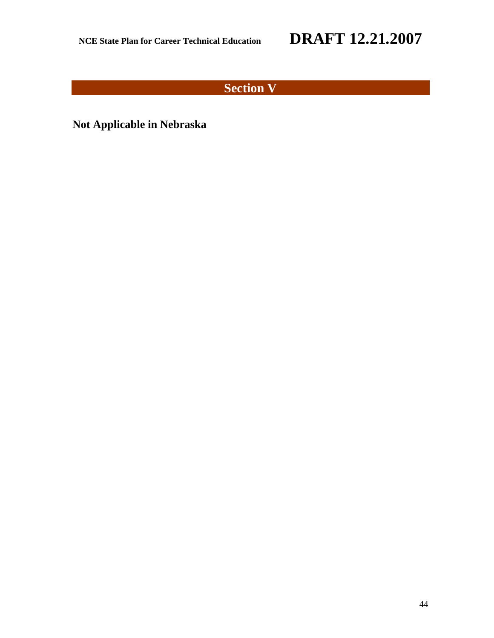# **Section V**

**Not Applicable in Nebraska**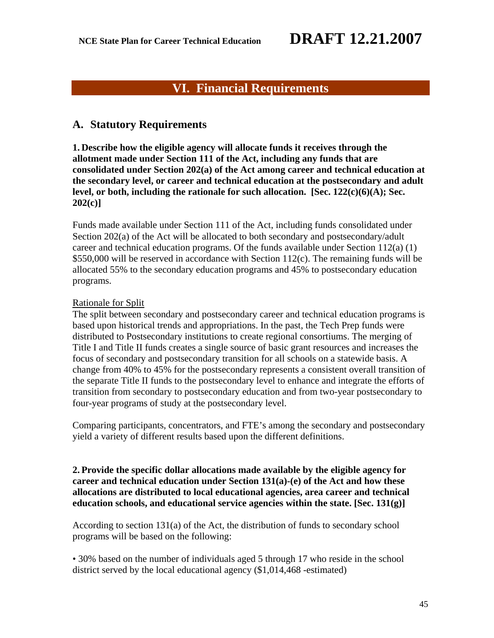#### **VI. Financial Requirements**

#### **A. Statutory Requirements**

**1. Describe how the eligible agency will allocate funds it receives through the allotment made under Section 111 of the Act, including any funds that are consolidated under Section 202(a) of the Act among career and technical education at the secondary level, or career and technical education at the postsecondary and adult level, or both, including the rationale for such allocation. [Sec. 122(c)(6)(A); Sec. 202(c)]** 

Funds made available under Section 111 of the Act, including funds consolidated under Section 202(a) of the Act will be allocated to both secondary and postsecondary/adult career and technical education programs. Of the funds available under Section 112(a)  $(1)$ \$550,000 will be reserved in accordance with Section 112(c). The remaining funds will be allocated 55% to the secondary education programs and 45% to postsecondary education programs.

#### Rationale for Split

The split between secondary and postsecondary career and technical education programs is based upon historical trends and appropriations. In the past, the Tech Prep funds were distributed to Postsecondary institutions to create regional consortiums. The merging of Title I and Title II funds creates a single source of basic grant resources and increases the focus of secondary and postsecondary transition for all schools on a statewide basis. A change from 40% to 45% for the postsecondary represents a consistent overall transition of the separate Title II funds to the postsecondary level to enhance and integrate the efforts of transition from secondary to postsecondary education and from two-year postsecondary to four-year programs of study at the postsecondary level.

Comparing participants, concentrators, and FTE's among the secondary and postsecondary yield a variety of different results based upon the different definitions.

#### **2. Provide the specific dollar allocations made available by the eligible agency for career and technical education under Section 131(a)-(e) of the Act and how these allocations are distributed to local educational agencies, area career and technical education schools, and educational service agencies within the state. [Sec. 131(g)]**

According to section 131(a) of the Act, the distribution of funds to secondary school programs will be based on the following:

• 30% based on the number of individuals aged 5 through 17 who reside in the school district served by the local educational agency (\$1,014,468 -estimated)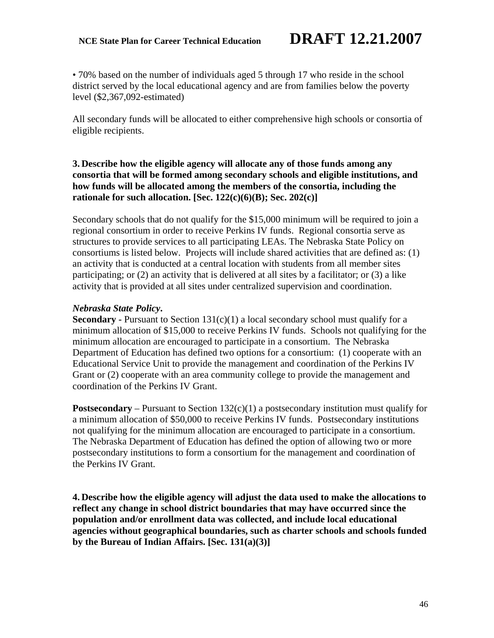• 70% based on the number of individuals aged 5 through 17 who reside in the school district served by the local educational agency and are from families below the poverty level (\$2,367,092-estimated)

All secondary funds will be allocated to either comprehensive high schools or consortia of eligible recipients.

#### **3. Describe how the eligible agency will allocate any of those funds among any consortia that will be formed among secondary schools and eligible institutions, and how funds will be allocated among the members of the consortia, including the rationale for such allocation. [Sec. 122(c)(6)(B); Sec. 202(c)]**

Secondary schools that do not qualify for the \$15,000 minimum will be required to join a regional consortium in order to receive Perkins IV funds. Regional consortia serve as structures to provide services to all participating LEAs. The Nebraska State Policy on consortiums is listed below. Projects will include shared activities that are defined as: (1) an activity that is conducted at a central location with students from all member sites participating; or (2) an activity that is delivered at all sites by a facilitator; or (3) a like activity that is provided at all sites under centralized supervision and coordination.

#### *Nebraska State Policy***.**

**Secondary - Pursuant to Section**  $131(c)(1)$  **a local secondary school must qualify for a** minimum allocation of \$15,000 to receive Perkins IV funds. Schools not qualifying for the minimum allocation are encouraged to participate in a consortium. The Nebraska Department of Education has defined two options for a consortium: (1) cooperate with an Educational Service Unit to provide the management and coordination of the Perkins IV Grant or (2) cooperate with an area community college to provide the management and coordination of the Perkins IV Grant.

**Postsecondary** – Pursuant to Section  $132(c)(1)$  a postsecondary institution must qualify for a minimum allocation of \$50,000 to receive Perkins IV funds. Postsecondary institutions not qualifying for the minimum allocation are encouraged to participate in a consortium. The Nebraska Department of Education has defined the option of allowing two or more postsecondary institutions to form a consortium for the management and coordination of the Perkins IV Grant.

**4. Describe how the eligible agency will adjust the data used to make the allocations to reflect any change in school district boundaries that may have occurred since the population and/or enrollment data was collected, and include local educational agencies without geographical boundaries, such as charter schools and schools funded by the Bureau of Indian Affairs. [Sec. 131(a)(3)]**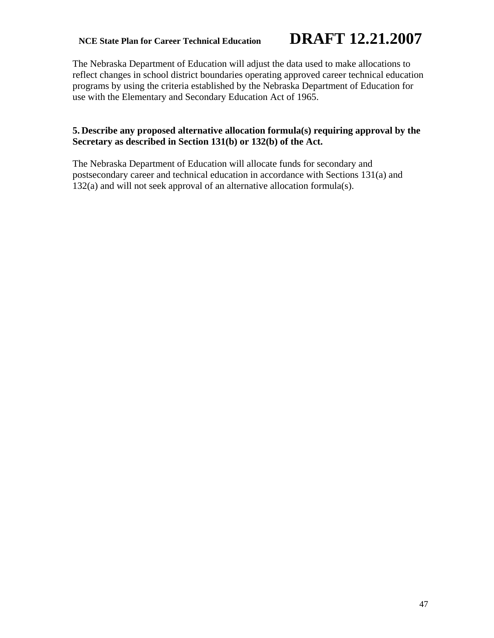The Nebraska Department of Education will adjust the data used to make allocations to reflect changes in school district boundaries operating approved career technical education programs by using the criteria established by the Nebraska Department of Education for use with the Elementary and Secondary Education Act of 1965.

#### **5. Describe any proposed alternative allocation formula(s) requiring approval by the Secretary as described in Section 131(b) or 132(b) of the Act.**

The Nebraska Department of Education will allocate funds for secondary and postsecondary career and technical education in accordance with Sections 131(a) and 132(a) and will not seek approval of an alternative allocation formula(s).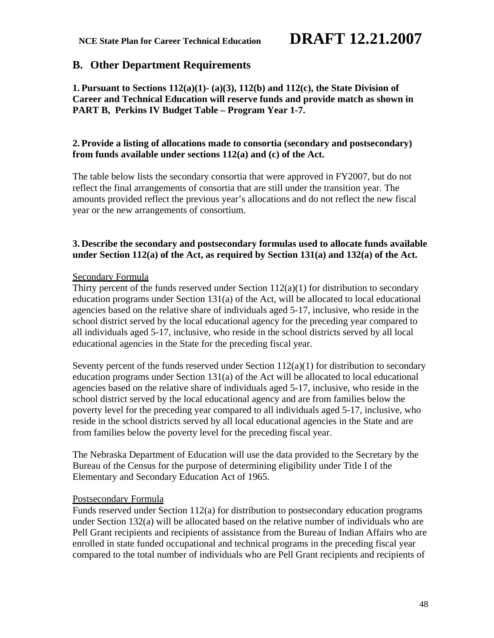#### **B. Other Department Requirements**

**1. Pursuant to Sections 112(a)(1)- (a)(3), 112(b) and 112(c), the State Division of Career and Technical Education will reserve funds and provide match as shown in PART B, Perkins IV Budget Table – Program Year 1-7.** 

#### **2. Provide a listing of allocations made to consortia (secondary and postsecondary) from funds available under sections 112(a) and (c) of the Act.**

The table below lists the secondary consortia that were approved in FY2007, but do not reflect the final arrangements of consortia that are still under the transition year. The amounts provided reflect the previous year's allocations and do not reflect the new fiscal year or the new arrangements of consortium.

#### **3. Describe the secondary and postsecondary formulas used to allocate funds available under Section 112(a) of the Act, as required by Section 131(a) and 132(a) of the Act.**

#### Secondary Formula

Thirty percent of the funds reserved under Section  $112(a)(1)$  for distribution to secondary education programs under Section 131(a) of the Act, will be allocated to local educational agencies based on the relative share of individuals aged 5-17, inclusive, who reside in the school district served by the local educational agency for the preceding year compared to all individuals aged 5-17, inclusive, who reside in the school districts served by all local educational agencies in the State for the preceding fiscal year.

Seventy percent of the funds reserved under Section  $112(a)(1)$  for distribution to secondary education programs under Section 131(a) of the Act will be allocated to local educational agencies based on the relative share of individuals aged 5-17, inclusive, who reside in the school district served by the local educational agency and are from families below the poverty level for the preceding year compared to all individuals aged 5-17, inclusive, who reside in the school districts served by all local educational agencies in the State and are from families below the poverty level for the preceding fiscal year.

The Nebraska Department of Education will use the data provided to the Secretary by the Bureau of the Census for the purpose of determining eligibility under Title I of the Elementary and Secondary Education Act of 1965.

#### Postsecondary Formula

Funds reserved under Section 112(a) for distribution to postsecondary education programs under Section 132(a) will be allocated based on the relative number of individuals who are Pell Grant recipients and recipients of assistance from the Bureau of Indian Affairs who are enrolled in state funded occupational and technical programs in the preceding fiscal year compared to the total number of individuals who are Pell Grant recipients and recipients of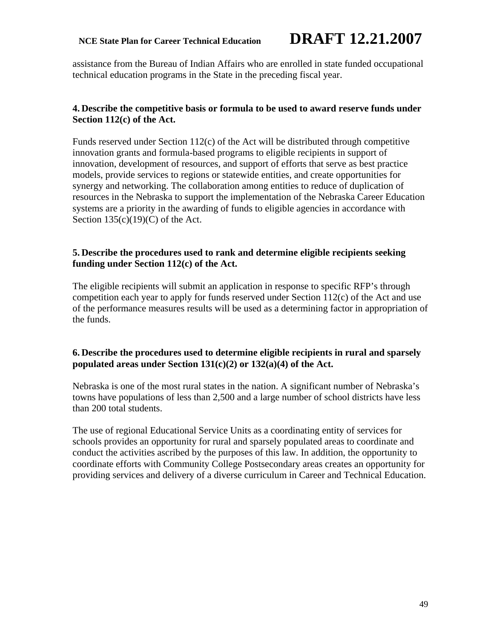assistance from the Bureau of Indian Affairs who are enrolled in state funded occupational technical education programs in the State in the preceding fiscal year.

#### **4. Describe the competitive basis or formula to be used to award reserve funds under Section 112(c) of the Act.**

Funds reserved under Section 112(c) of the Act will be distributed through competitive innovation grants and formula-based programs to eligible recipients in support of innovation, development of resources, and support of efforts that serve as best practice models, provide services to regions or statewide entities, and create opportunities for synergy and networking. The collaboration among entities to reduce of duplication of resources in the Nebraska to support the implementation of the Nebraska Career Education systems are a priority in the awarding of funds to eligible agencies in accordance with Section  $135(c)(19)(C)$  of the Act.

#### **5. Describe the procedures used to rank and determine eligible recipients seeking funding under Section 112(c) of the Act.**

The eligible recipients will submit an application in response to specific RFP's through competition each year to apply for funds reserved under Section 112(c) of the Act and use of the performance measures results will be used as a determining factor in appropriation of the funds.

#### **6. Describe the procedures used to determine eligible recipients in rural and sparsely populated areas under Section 131(c)(2) or 132(a)(4) of the Act.**

Nebraska is one of the most rural states in the nation. A significant number of Nebraska's towns have populations of less than 2,500 and a large number of school districts have less than 200 total students.

The use of regional Educational Service Units as a coordinating entity of services for schools provides an opportunity for rural and sparsely populated areas to coordinate and conduct the activities ascribed by the purposes of this law. In addition, the opportunity to coordinate efforts with Community College Postsecondary areas creates an opportunity for providing services and delivery of a diverse curriculum in Career and Technical Education.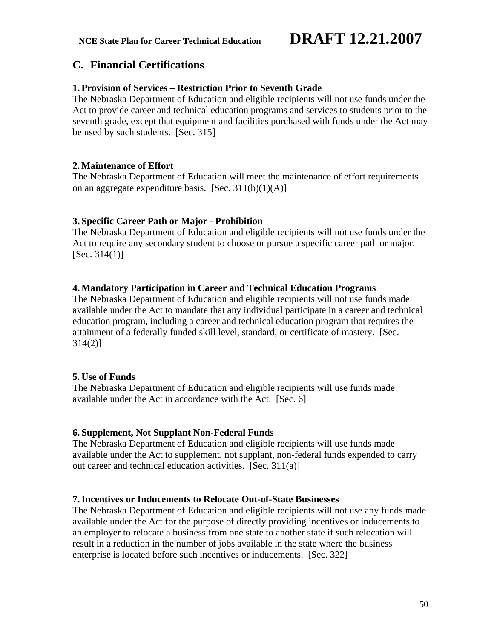#### **C. Financial Certifications**

#### **1. Provision of Services – Restriction Prior to Seventh Grade**

The Nebraska Department of Education and eligible recipients will not use funds under the Act to provide career and technical education programs and services to students prior to the seventh grade, except that equipment and facilities purchased with funds under the Act may be used by such students. [Sec. 315]

#### **2. Maintenance of Effort**

The Nebraska Department of Education will meet the maintenance of effort requirements on an aggregate expenditure basis. [Sec.  $311(b)(1)(A)$ ]

#### **3. Specific Career Path or Major - Prohibition**

The Nebraska Department of Education and eligible recipients will not use funds under the Act to require any secondary student to choose or pursue a specific career path or major.  $[Sec. 314(1)]$ 

#### **4. Mandatory Participation in Career and Technical Education Programs**

The Nebraska Department of Education and eligible recipients will not use funds made available under the Act to mandate that any individual participate in a career and technical education program, including a career and technical education program that requires the attainment of a federally funded skill level, standard, or certificate of mastery. [Sec. 314(2)]

#### **5. Use of Funds**

The Nebraska Department of Education and eligible recipients will use funds made available under the Act in accordance with the Act. [Sec. 6]

#### **6. Supplement, Not Supplant Non-Federal Funds**

The Nebraska Department of Education and eligible recipients will use funds made available under the Act to supplement, not supplant, non-federal funds expended to carry out career and technical education activities. [Sec. 311(a)]

#### **7. Incentives or Inducements to Relocate Out-of-State Businesses**

The Nebraska Department of Education and eligible recipients will not use any funds made available under the Act for the purpose of directly providing incentives or inducements to an employer to relocate a business from one state to another state if such relocation will result in a reduction in the number of jobs available in the state where the business enterprise is located before such incentives or inducements. [Sec. 322]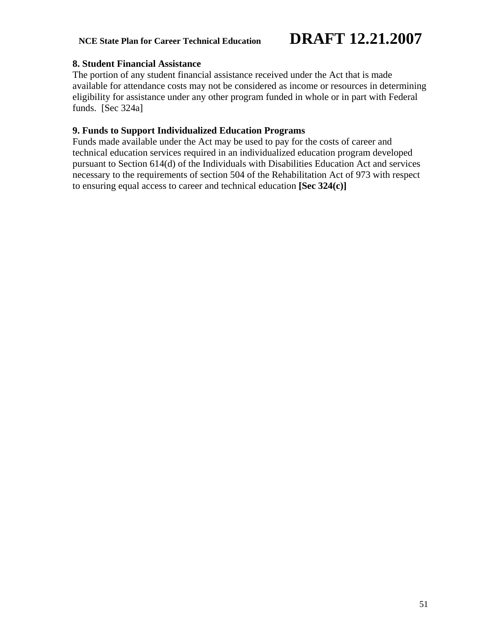#### **8. Student Financial Assistance**

The portion of any student financial assistance received under the Act that is made available for attendance costs may not be considered as income or resources in determining eligibility for assistance under any other program funded in whole or in part with Federal funds. [Sec 324a]

#### **9. Funds to Support Individualized Education Programs**

Funds made available under the Act may be used to pay for the costs of career and technical education services required in an individualized education program developed pursuant to Section 614(d) of the Individuals with Disabilities Education Act and services necessary to the requirements of section 504 of the Rehabilitation Act of 973 with respect to ensuring equal access to career and technical education **[Sec 324(c)]**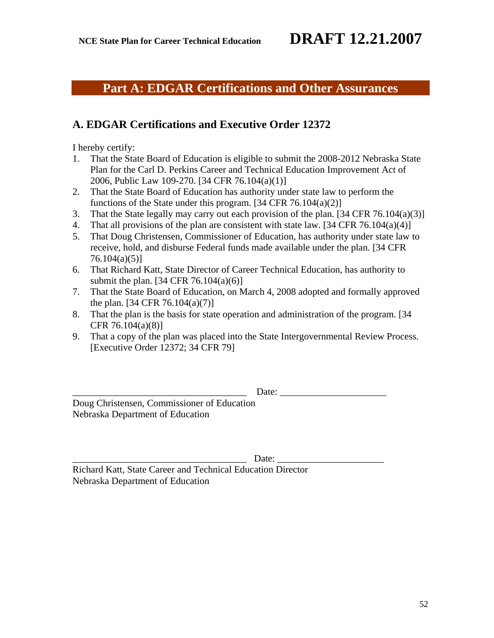### **Part A: EDGAR Certifications and Other Assurances**

#### **A. EDGAR Certifications and Executive Order 12372**

I hereby certify:

- 1. That the State Board of Education is eligible to submit the 2008-2012 Nebraska State Plan for the Carl D. Perkins Career and Technical Education Improvement Act of 2006, Public Law 109-270. [34 CFR 76.104(a)(1)]
- 2. That the State Board of Education has authority under state law to perform the functions of the State under this program. [34 CFR 76.104 $(a)(2)$ ]
- 3. That the State legally may carry out each provision of the plan. [34 CFR 76.104(a)(3)]
- 4. That all provisions of the plan are consistent with state law. [34 CFR 76.104(a)(4)]
- 5. That Doug Christensen, Commissioner of Education, has authority under state law to receive, hold, and disburse Federal funds made available under the plan. [34 CFR 76.104(a)(5)]
- 6. That Richard Katt, State Director of Career Technical Education, has authority to submit the plan. [34 CFR 76.104(a)(6)]
- 7. That the State Board of Education, on March 4, 2008 adopted and formally approved the plan. [34 CFR 76.104(a)(7)]
- 8. That the plan is the basis for state operation and administration of the program. [34 CFR 76.104(a)(8)]
- 9. That a copy of the plan was placed into the State Intergovernmental Review Process. [Executive Order 12372; 34 CFR 79]

\_\_\_\_\_\_\_\_\_\_\_\_\_\_\_\_\_\_\_\_\_\_\_\_\_\_\_\_\_\_\_\_\_\_\_\_ Date: \_\_\_\_\_\_\_\_\_\_\_\_\_\_\_\_\_\_\_\_\_\_

Doug Christensen, Commissioner of Education Nebraska Department of Education

 $Date:$ 

Richard Katt, State Career and Technical Education Director Nebraska Department of Education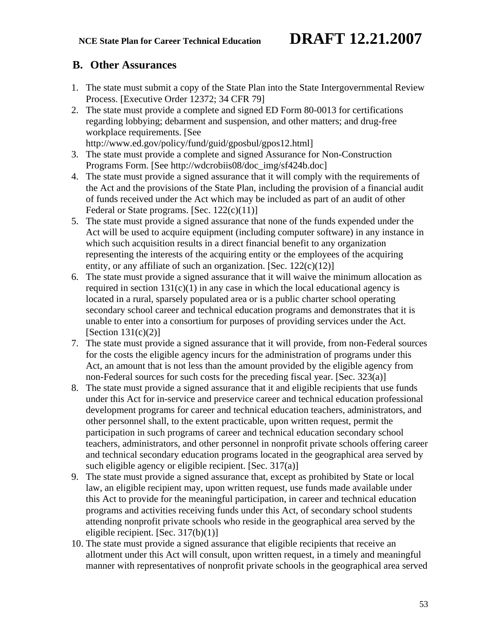### **B. Other Assurances**

- 1. The state must submit a copy of the State Plan into the State Intergovernmental Review Process. [Executive Order 12372; 34 CFR 79]
- 2. The state must provide a complete and signed ED Form 80-0013 for certifications regarding lobbying; debarment and suspension, and other matters; and drug-free workplace requirements. [See

http://www.ed.gov/policy/fund/guid/gposbul/gpos12.html]

- 3. The state must provide a complete and signed Assurance for Non-Construction Programs Form. [See http://wdcrobiis08/doc\_img/sf424b.doc]
- 4. The state must provide a signed assurance that it will comply with the requirements of the Act and the provisions of the State Plan, including the provision of a financial audit of funds received under the Act which may be included as part of an audit of other Federal or State programs. [Sec. 122(c)(11)]
- 5. The state must provide a signed assurance that none of the funds expended under the Act will be used to acquire equipment (including computer software) in any instance in which such acquisition results in a direct financial benefit to any organization representing the interests of the acquiring entity or the employees of the acquiring entity, or any affiliate of such an organization. [Sec. 122(c)(12)]
- 6. The state must provide a signed assurance that it will waive the minimum allocation as required in section  $131(c)(1)$  in any case in which the local educational agency is located in a rural, sparsely populated area or is a public charter school operating secondary school career and technical education programs and demonstrates that it is unable to enter into a consortium for purposes of providing services under the Act. [Section  $131(c)(2)$ ]
- 7. The state must provide a signed assurance that it will provide, from non-Federal sources for the costs the eligible agency incurs for the administration of programs under this Act, an amount that is not less than the amount provided by the eligible agency from non-Federal sources for such costs for the preceding fiscal year. [Sec. 323(a)]
- 8. The state must provide a signed assurance that it and eligible recipients that use funds under this Act for in-service and preservice career and technical education professional development programs for career and technical education teachers, administrators, and other personnel shall, to the extent practicable, upon written request, permit the participation in such programs of career and technical education secondary school teachers, administrators, and other personnel in nonprofit private schools offering career and technical secondary education programs located in the geographical area served by such eligible agency or eligible recipient. [Sec. 317(a)]
- 9. The state must provide a signed assurance that, except as prohibited by State or local law, an eligible recipient may, upon written request, use funds made available under this Act to provide for the meaningful participation, in career and technical education programs and activities receiving funds under this Act, of secondary school students attending nonprofit private schools who reside in the geographical area served by the eligible recipient. [Sec. 317(b)(1)]
- 10. The state must provide a signed assurance that eligible recipients that receive an allotment under this Act will consult, upon written request, in a timely and meaningful manner with representatives of nonprofit private schools in the geographical area served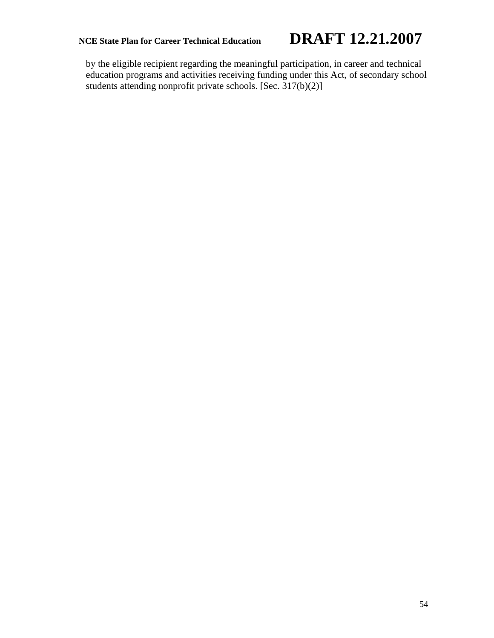by the eligible recipient regarding the meaningful participation, in career and technical education programs and activities receiving funding under this Act, of secondary school students attending nonprofit private schools. [Sec. 317(b)(2)]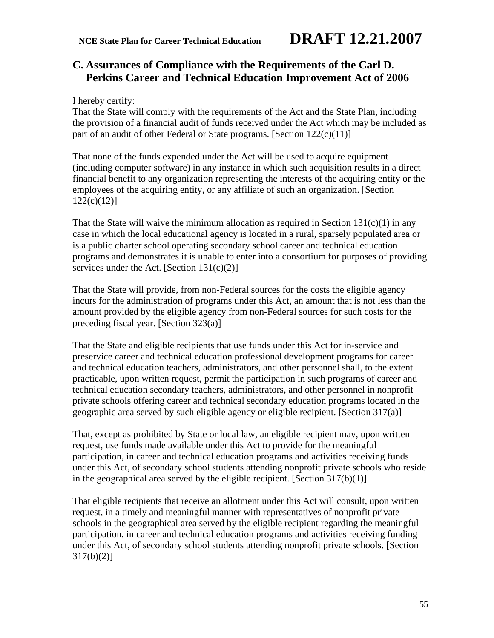### **C. Assurances of Compliance with the Requirements of the Carl D. Perkins Career and Technical Education Improvement Act of 2006**

I hereby certify:

That the State will comply with the requirements of the Act and the State Plan, including the provision of a financial audit of funds received under the Act which may be included as part of an audit of other Federal or State programs. [Section 122(c)(11)]

That none of the funds expended under the Act will be used to acquire equipment (including computer software) in any instance in which such acquisition results in a direct financial benefit to any organization representing the interests of the acquiring entity or the employees of the acquiring entity, or any affiliate of such an organization. [Section 122(c)(12)]

That the State will waive the minimum allocation as required in Section  $131(c)(1)$  in any case in which the local educational agency is located in a rural, sparsely populated area or is a public charter school operating secondary school career and technical education programs and demonstrates it is unable to enter into a consortium for purposes of providing services under the Act. [Section  $131(c)(2)$ ]

That the State will provide, from non-Federal sources for the costs the eligible agency incurs for the administration of programs under this Act, an amount that is not less than the amount provided by the eligible agency from non-Federal sources for such costs for the preceding fiscal year. [Section 323(a)]

That the State and eligible recipients that use funds under this Act for in-service and preservice career and technical education professional development programs for career and technical education teachers, administrators, and other personnel shall, to the extent practicable, upon written request, permit the participation in such programs of career and technical education secondary teachers, administrators, and other personnel in nonprofit private schools offering career and technical secondary education programs located in the geographic area served by such eligible agency or eligible recipient. [Section 317(a)]

That, except as prohibited by State or local law, an eligible recipient may, upon written request, use funds made available under this Act to provide for the meaningful participation, in career and technical education programs and activities receiving funds under this Act, of secondary school students attending nonprofit private schools who reside in the geographical area served by the eligible recipient. [Section 317(b)(1)]

That eligible recipients that receive an allotment under this Act will consult, upon written request, in a timely and meaningful manner with representatives of nonprofit private schools in the geographical area served by the eligible recipient regarding the meaningful participation, in career and technical education programs and activities receiving funding under this Act, of secondary school students attending nonprofit private schools. [Section  $317(b)(2)$ ]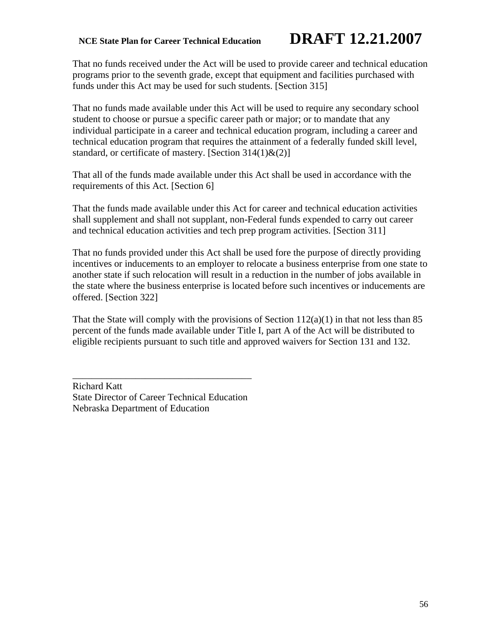That no funds received under the Act will be used to provide career and technical education programs prior to the seventh grade, except that equipment and facilities purchased with funds under this Act may be used for such students. [Section 315]

That no funds made available under this Act will be used to require any secondary school student to choose or pursue a specific career path or major; or to mandate that any individual participate in a career and technical education program, including a career and technical education program that requires the attainment of a federally funded skill level, standard, or certificate of mastery. [Section  $314(1) \& (2)$ ]

That all of the funds made available under this Act shall be used in accordance with the requirements of this Act. [Section 6]

That the funds made available under this Act for career and technical education activities shall supplement and shall not supplant, non-Federal funds expended to carry out career and technical education activities and tech prep program activities. [Section 311]

That no funds provided under this Act shall be used fore the purpose of directly providing incentives or inducements to an employer to relocate a business enterprise from one state to another state if such relocation will result in a reduction in the number of jobs available in the state where the business enterprise is located before such incentives or inducements are offered. [Section 322]

That the State will comply with the provisions of Section  $112(a)(1)$  in that not less than 85 percent of the funds made available under Title I, part A of the Act will be distributed to eligible recipients pursuant to such title and approved waivers for Section 131 and 132.

Richard Katt State Director of Career Technical Education Nebraska Department of Education

\_\_\_\_\_\_\_\_\_\_\_\_\_\_\_\_\_\_\_\_\_\_\_\_\_\_\_\_\_\_\_\_\_\_\_\_\_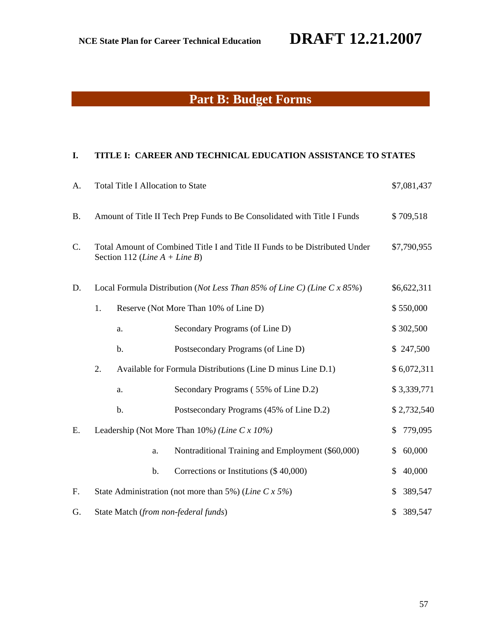### **Part B: Budget Forms**

#### **I. TITLE I: CAREER AND TECHNICAL EDUCATION ASSISTANCE TO STATES**

| A.        |    | <b>Total Title I Allocation to State</b> |                                                                             | \$7,081,437   |
|-----------|----|------------------------------------------|-----------------------------------------------------------------------------|---------------|
| <b>B.</b> |    |                                          | Amount of Title II Tech Prep Funds to Be Consolidated with Title I Funds    | \$709,518     |
| C.        |    | Section 112 ( <i>Line A + Line B</i> )   | Total Amount of Combined Title I and Title II Funds to be Distributed Under | \$7,790,955   |
| D.        |    |                                          | Local Formula Distribution (Not Less Than 85% of Line C) (Line C x 85%)     | \$6,622,311   |
|           | 1. |                                          | Reserve (Not More Than 10% of Line D)                                       | \$550,000     |
|           |    | a.                                       | Secondary Programs (of Line D)                                              | \$302,500     |
|           |    | b.                                       | Postsecondary Programs (of Line D)                                          | \$247,500     |
|           | 2. |                                          | Available for Formula Distributions (Line D minus Line D.1)                 | \$6,072,311   |
|           |    | a.                                       | Secondary Programs (55% of Line D.2)                                        | \$3,339,771   |
|           |    | b.                                       | Postsecondary Programs (45% of Line D.2)                                    | \$2,732,540   |
| Е.        |    |                                          | Leadership (Not More Than $10\%$ ) (Line C x $10\%$ )                       | \$<br>779,095 |
|           |    | a.                                       | Nontraditional Training and Employment (\$60,000)                           | \$<br>60,000  |
|           |    | b.                                       | Corrections or Institutions (\$40,000)                                      | \$<br>40,000  |
| F.        |    |                                          | State Administration (not more than 5%) ( <i>Line C x 5%</i> )              | \$<br>389,547 |
| G.        |    |                                          | State Match (from non-federal funds)                                        | \$<br>389,547 |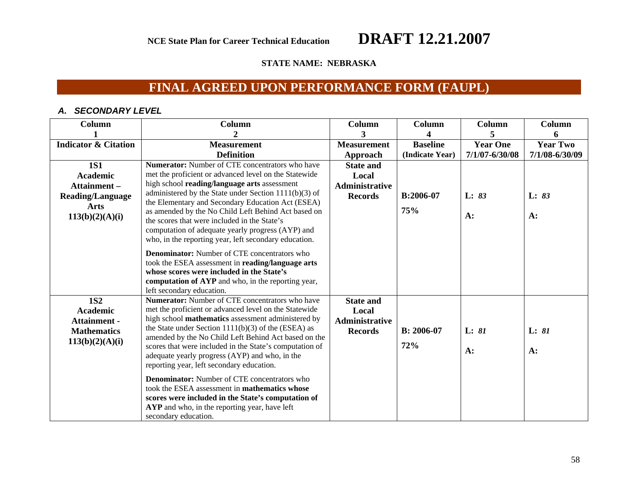## **DRAFT 12.21.2007**

#### **STATE NAME: NEBRASKA**

### **FINAL AGREED UPON PERFORMANCE FORM (FAUPL)**

#### *A. SECONDARY LEVEL*

| Column                                                                                                     | Column                                                                                                                                                                                                                                                                                                                                                                                                                                                                                                                                                                                                           | Column                                                        | Column                    | Column          | Column          |
|------------------------------------------------------------------------------------------------------------|------------------------------------------------------------------------------------------------------------------------------------------------------------------------------------------------------------------------------------------------------------------------------------------------------------------------------------------------------------------------------------------------------------------------------------------------------------------------------------------------------------------------------------------------------------------------------------------------------------------|---------------------------------------------------------------|---------------------------|-----------------|-----------------|
|                                                                                                            | $\mathbf{2}$                                                                                                                                                                                                                                                                                                                                                                                                                                                                                                                                                                                                     | 3                                                             |                           |                 | 6               |
| <b>Indicator &amp; Citation</b>                                                                            | <b>Measurement</b>                                                                                                                                                                                                                                                                                                                                                                                                                                                                                                                                                                                               | <b>Measurement</b>                                            | <b>Baseline</b>           | <b>Year One</b> | <b>Year Two</b> |
|                                                                                                            | <b>Definition</b>                                                                                                                                                                                                                                                                                                                                                                                                                                                                                                                                                                                                | Approach                                                      | (Indicate Year)           | 7/1/07-6/30/08  | 7/1/08-6/30/09  |
| <b>1S1</b><br><b>Academic</b><br>Attainment -<br><b>Reading/Language</b><br><b>Arts</b><br>113(b)(2)(A)(i) | <b>Numerator:</b> Number of CTE concentrators who have<br>met the proficient or advanced level on the Statewide<br>high school reading/language arts assessment<br>administered by the State under Section $1111(b)(3)$ of<br>the Elementary and Secondary Education Act (ESEA)<br>as amended by the No Child Left Behind Act based on<br>the scores that were included in the State's<br>computation of adequate yearly progress (AYP) and<br>who, in the reporting year, left secondary education.<br><b>Denominator:</b> Number of CTE concentrators who<br>took the ESEA assessment in reading/language arts | <b>State and</b><br>Local<br>Administrative<br><b>Records</b> | <b>B:2006-07</b><br>75%   | L: 83<br>A:     | L: 83<br>$A$ :  |
|                                                                                                            | whose scores were included in the State's<br>computation of AYP and who, in the reporting year,<br>left secondary education.                                                                                                                                                                                                                                                                                                                                                                                                                                                                                     |                                                               |                           |                 |                 |
| <b>1S2</b><br><b>Academic</b><br><b>Attainment -</b><br><b>Mathematics</b><br>113(b)(2)(A)(i)              | <b>Numerator:</b> Number of CTE concentrators who have<br>met the proficient or advanced level on the Statewide<br>high school mathematics assessment administered by<br>the State under Section $1111(b)(3)$ of the (ESEA) as<br>amended by the No Child Left Behind Act based on the<br>scores that were included in the State's computation of<br>adequate yearly progress (AYP) and who, in the<br>reporting year, left secondary education.<br><b>Denominator:</b> Number of CTE concentrators who                                                                                                          | <b>State and</b><br>Local<br>Administrative<br><b>Records</b> | <b>B</b> : 2006-07<br>72% | L: 81<br>$A$ :  | L: 81<br>$A$ :  |
|                                                                                                            | took the ESEA assessment in mathematics whose<br>scores were included in the State's computation of<br>AYP and who, in the reporting year, have left<br>secondary education.                                                                                                                                                                                                                                                                                                                                                                                                                                     |                                                               |                           |                 |                 |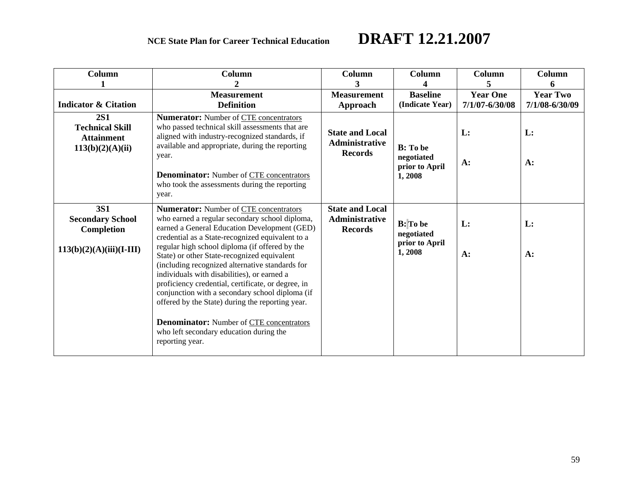| <b>Column</b>                                                                     | Column                                                                                                                                                                                                                                                                                                                                                                                                                                                                                                                                                                                                                                                                               | Column                                                     | Column                                                     | Column                            | Column                            |
|-----------------------------------------------------------------------------------|--------------------------------------------------------------------------------------------------------------------------------------------------------------------------------------------------------------------------------------------------------------------------------------------------------------------------------------------------------------------------------------------------------------------------------------------------------------------------------------------------------------------------------------------------------------------------------------------------------------------------------------------------------------------------------------|------------------------------------------------------------|------------------------------------------------------------|-----------------------------------|-----------------------------------|
|                                                                                   | $\mathbf{2}$                                                                                                                                                                                                                                                                                                                                                                                                                                                                                                                                                                                                                                                                         | 3                                                          | Δ                                                          | 5                                 | 6                                 |
| <b>Indicator &amp; Citation</b>                                                   | <b>Measurement</b><br><b>Definition</b>                                                                                                                                                                                                                                                                                                                                                                                                                                                                                                                                                                                                                                              | <b>Measurement</b><br>Approach                             | <b>Baseline</b><br>(Indicate Year)                         | <b>Year One</b><br>7/1/07-6/30/08 | <b>Year Two</b><br>7/1/08-6/30/09 |
| <b>2S1</b><br><b>Technical Skill</b><br><b>Attainment</b><br>113(b)(2)(A)(ii)     | Numerator: Number of CTE concentrators<br>who passed technical skill assessments that are<br>aligned with industry-recognized standards, if<br>available and appropriate, during the reporting<br>year.<br><b>Denominator:</b> Number of CTE concentrators<br>who took the assessments during the reporting<br>year.                                                                                                                                                                                                                                                                                                                                                                 | <b>State and Local</b><br>Administrative<br><b>Records</b> | <b>B</b> : To be<br>negotiated<br>prior to April<br>1,2008 | L:<br>$A$ :                       | L:<br>$A$ :                       |
| <b>3S1</b><br><b>Secondary School</b><br>Completion<br>$113(b)(2)(A)(iii)(I-III)$ | <b>Numerator:</b> Number of CTE concentrators<br>who earned a regular secondary school diploma,<br>earned a General Education Development (GED)<br>credential as a State-recognized equivalent to a<br>regular high school diploma (if offered by the<br>State) or other State-recognized equivalent<br>(including recognized alternative standards for<br>individuals with disabilities), or earned a<br>proficiency credential, certificate, or degree, in<br>conjunction with a secondary school diploma (if<br>offered by the State) during the reporting year.<br><b>Denominator:</b> Number of CTE concentrators<br>who left secondary education during the<br>reporting year. | <b>State and Local</b><br>Administrative<br><b>Records</b> | $B:$ To be<br>negotiated<br>prior to April<br>1,2008       | L:<br>$A$ :                       | L:<br>$A$ :                       |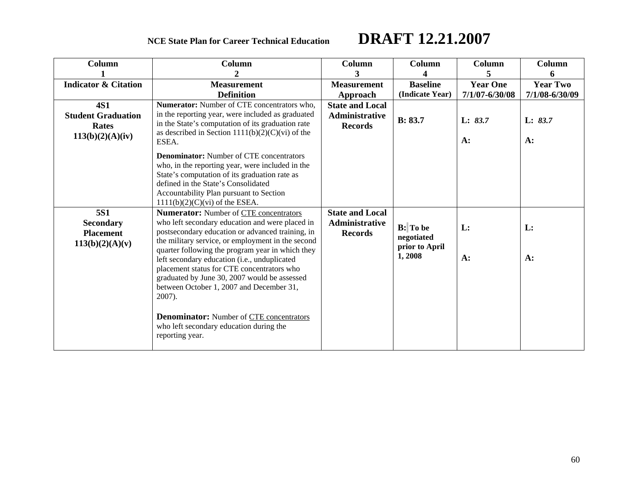| Column                          | Column                                                                                                                                                                                                                                                                     | Column                 | Column          | Column          | Column          |
|---------------------------------|----------------------------------------------------------------------------------------------------------------------------------------------------------------------------------------------------------------------------------------------------------------------------|------------------------|-----------------|-----------------|-----------------|
|                                 | 2                                                                                                                                                                                                                                                                          | 3                      | 4               | 5               | 6               |
| <b>Indicator &amp; Citation</b> | <b>Measurement</b>                                                                                                                                                                                                                                                         | <b>Measurement</b>     | <b>Baseline</b> | <b>Year One</b> | <b>Year Two</b> |
|                                 | <b>Definition</b>                                                                                                                                                                                                                                                          | Approach               | (Indicate Year) | 7/1/07-6/30/08  | 7/1/08-6/30/09  |
| <b>4S1</b>                      | <b>Numerator:</b> Number of CTE concentrators who,                                                                                                                                                                                                                         | <b>State and Local</b> |                 |                 |                 |
| <b>Student Graduation</b>       | in the reporting year, were included as graduated                                                                                                                                                                                                                          | <b>Administrative</b>  | <b>B</b> : 83.7 | L: 83.7         | L: 83.7         |
| Rates                           | in the State's computation of its graduation rate                                                                                                                                                                                                                          | <b>Records</b>         |                 |                 |                 |
| 113(b)(2)(A)(iv)                | as described in Section $1111(b)(2)(C)(vi)$ of the<br>ESEA.                                                                                                                                                                                                                |                        |                 | $A$ :           | $A$ :           |
|                                 | <b>Denominator:</b> Number of CTE concentrators<br>who, in the reporting year, were included in the<br>State's computation of its graduation rate as<br>defined in the State's Consolidated<br>Accountability Plan pursuant to Section<br>$1111(b)(2)(C)(vi)$ of the ESEA. |                        |                 |                 |                 |
| <b>5S1</b>                      | <b>Numerator:</b> Number of CTE concentrators                                                                                                                                                                                                                              | <b>State and Local</b> |                 |                 |                 |
| <b>Secondary</b>                | who left secondary education and were placed in                                                                                                                                                                                                                            | Administrative         | $B:$ To be      | L:              | L:              |
| <b>Placement</b>                | postsecondary education or advanced training, in                                                                                                                                                                                                                           | <b>Records</b>         | negotiated      |                 |                 |
| 113(b)(2)(A)(v)                 | the military service, or employment in the second<br>quarter following the program year in which they                                                                                                                                                                      |                        | prior to April  |                 |                 |
|                                 | left secondary education (i.e., unduplicated<br>placement status for CTE concentrators who<br>graduated by June 30, 2007 would be assessed<br>between October 1, 2007 and December 31,<br>2007).                                                                           |                        | 1,2008          | A:              | $A$ :           |
|                                 | <b>Denominator:</b> Number of CTE concentrators<br>who left secondary education during the<br>reporting year.                                                                                                                                                              |                        |                 |                 |                 |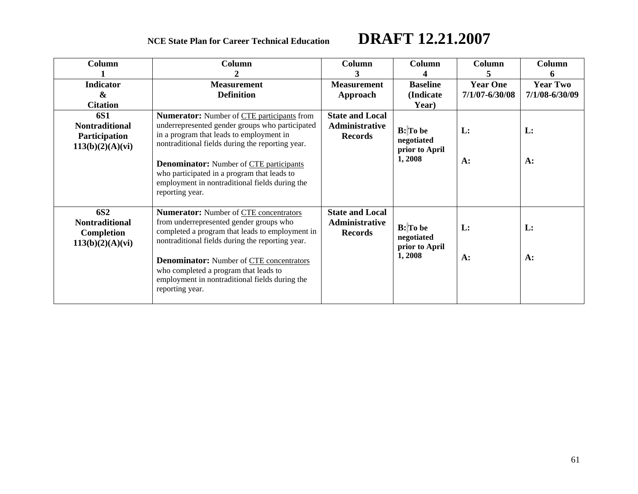| Column                                                                   | Column                                                                                                                                                                                                                                                                                                                                                                                                                                | Column                                                            | Column                                                    | Column          | Column          |
|--------------------------------------------------------------------------|---------------------------------------------------------------------------------------------------------------------------------------------------------------------------------------------------------------------------------------------------------------------------------------------------------------------------------------------------------------------------------------------------------------------------------------|-------------------------------------------------------------------|-----------------------------------------------------------|-----------------|-----------------|
|                                                                          | 2                                                                                                                                                                                                                                                                                                                                                                                                                                     | 3                                                                 |                                                           |                 | 6               |
| <b>Indicator</b>                                                         | <b>Measurement</b>                                                                                                                                                                                                                                                                                                                                                                                                                    | <b>Measurement</b>                                                | <b>Baseline</b>                                           | <b>Year One</b> | <b>Year Two</b> |
| &                                                                        | <b>Definition</b>                                                                                                                                                                                                                                                                                                                                                                                                                     | Approach                                                          | (Indicate)                                                | 7/1/07-6/30/08  | 7/1/08-6/30/09  |
| <b>Citation</b>                                                          |                                                                                                                                                                                                                                                                                                                                                                                                                                       |                                                                   | Year)                                                     |                 |                 |
| <b>6S1</b><br><b>Nontraditional</b><br>Participation<br>113(b)(2)(A)(vi) | <b>Numerator:</b> Number of CTE participants from<br>underrepresented gender groups who participated<br>in a program that leads to employment in<br>nontraditional fields during the reporting year.<br><b>Denominator:</b> Number of CTE participants<br>who participated in a program that leads to                                                                                                                                 | <b>State and Local</b><br>Administrative<br><b>Records</b>        | <b>B:</b> To be<br>negotiated<br>prior to April<br>1,2008 | L:<br>A:        | L:<br>A:        |
| <b>6S2</b><br><b>Nontraditional</b><br>Completion<br>113(b)(2)(A)(vi)    | employment in nontraditional fields during the<br>reporting year.<br><b>Numerator:</b> Number of CTE concentrators<br>from underrepresented gender groups who<br>completed a program that leads to employment in<br>nontraditional fields during the reporting year.<br><b>Denominator:</b> Number of CTE concentrators<br>who completed a program that leads to<br>employment in nontraditional fields during the<br>reporting year. | <b>State and Local</b><br><b>Administrative</b><br><b>Records</b> | <b>B:</b> To be<br>negotiated<br>prior to April<br>1,2008 | L:<br>A:        | L:<br>A:        |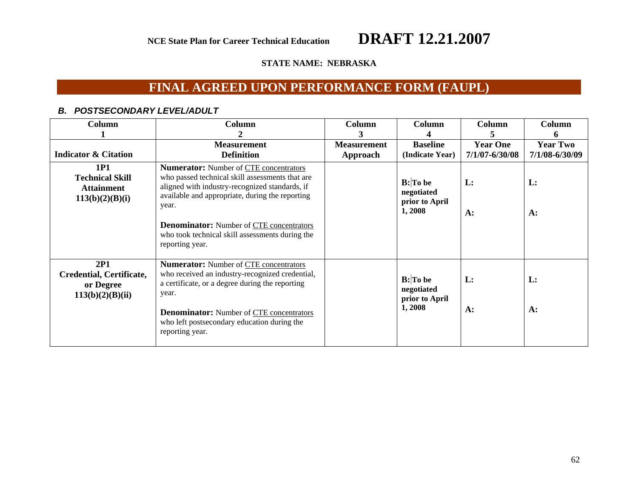## **DRAFT 12.21.2007**

#### **STATE NAME: NEBRASKA**

### **FINAL AGREED UPON PERFORMANCE FORM (FAUPL)**

#### *B. POSTSECONDARY LEVEL/ADULT*

| Column                                                                       | Column                                                                                                                                                                                                                                                                                                                                         | <b>Column</b>                  | Column                                                    | <b>Column</b>                     | Column                            |
|------------------------------------------------------------------------------|------------------------------------------------------------------------------------------------------------------------------------------------------------------------------------------------------------------------------------------------------------------------------------------------------------------------------------------------|--------------------------------|-----------------------------------------------------------|-----------------------------------|-----------------------------------|
|                                                                              |                                                                                                                                                                                                                                                                                                                                                | 3                              | 4                                                         | ÷.                                | 6                                 |
| <b>Indicator &amp; Citation</b>                                              | <b>Measurement</b><br><b>Definition</b>                                                                                                                                                                                                                                                                                                        | <b>Measurement</b><br>Approach | <b>Baseline</b><br>(Indicate Year)                        | <b>Year One</b><br>7/1/07-6/30/08 | <b>Year Two</b><br>7/1/08-6/30/09 |
| <b>1P1</b><br><b>Technical Skill</b><br><b>Attainment</b><br>113(b)(2)(B)(i) | <b>Numerator:</b> Number of <b>CTE</b> concentrators<br>who passed technical skill assessments that are<br>aligned with industry-recognized standards, if<br>available and appropriate, during the reporting<br>year.<br><b>Denominator:</b> Number of CTE concentrators<br>who took technical skill assessments during the<br>reporting year. |                                | $B:$ To be<br>negotiated<br>prior to April<br>1,2008      | L:<br>$A$ :                       | L:<br>$A$ :                       |
| 2P1<br>Credential, Certificate,<br>or Degree<br>113(b)(2)(B)(ii)             | <b>Numerator:</b> Number of <b>CTE</b> concentrators<br>who received an industry-recognized credential,<br>a certificate, or a degree during the reporting<br>year.<br><b>Denominator:</b> Number of CTE concentrators<br>who left postsecondary education during the<br>reporting year.                                                       |                                | <b>B:</b> To be<br>negotiated<br>prior to April<br>1,2008 | L:<br>$A$ :                       | L:<br>$A$ :                       |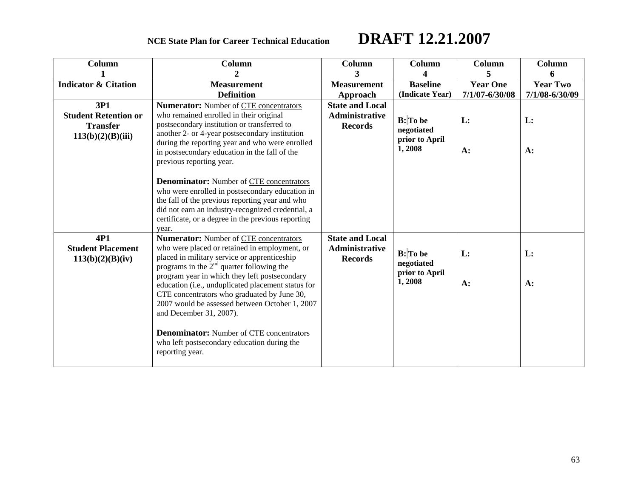| Column                                                                     | Column                                                                                                                                                                                                                                                                                                                                                                                                                           | Column                                                            | Column                                                     | Column          | Column          |
|----------------------------------------------------------------------------|----------------------------------------------------------------------------------------------------------------------------------------------------------------------------------------------------------------------------------------------------------------------------------------------------------------------------------------------------------------------------------------------------------------------------------|-------------------------------------------------------------------|------------------------------------------------------------|-----------------|-----------------|
|                                                                            | 2                                                                                                                                                                                                                                                                                                                                                                                                                                | 3                                                                 | 4                                                          | 5               | 6               |
| <b>Indicator &amp; Citation</b>                                            | <b>Measurement</b>                                                                                                                                                                                                                                                                                                                                                                                                               | <b>Measurement</b>                                                | <b>Baseline</b>                                            | <b>Year One</b> | <b>Year Two</b> |
|                                                                            | <b>Definition</b>                                                                                                                                                                                                                                                                                                                                                                                                                | Approach                                                          | (Indicate Year)                                            | 7/1/07-6/30/08  | 7/1/08-6/30/09  |
| 3P1<br><b>Student Retention or</b><br><b>Transfer</b><br>113(b)(2)(B)(iii) | <b>Numerator:</b> Number of CTE concentrators<br>who remained enrolled in their original<br>postsecondary institution or transferred to<br>another 2- or 4-year postsecondary institution<br>during the reporting year and who were enrolled<br>in postsecondary education in the fall of the<br>previous reporting year.<br><b>Denominator:</b> Number of CTE concentrators                                                     | <b>State and Local</b><br><b>Administrative</b><br><b>Records</b> | <b>B:</b> To be<br>negotiated<br>prior to April<br>1,2008  | L:<br>$A$ :     | L:<br>$A$ :     |
|                                                                            | who were enrolled in postsecondary education in<br>the fall of the previous reporting year and who<br>did not earn an industry-recognized credential, a<br>certificate, or a degree in the previous reporting<br>year.                                                                                                                                                                                                           |                                                                   |                                                            |                 |                 |
| 4P1<br><b>Student Placement</b><br>113(b)(2)(B)(iv)                        | <b>Numerator:</b> Number of CTE concentrators<br>who were placed or retained in employment, or<br>placed in military service or apprenticeship<br>programs in the $2nd$ quarter following the<br>program year in which they left postsecondary<br>education (i.e., unduplicated placement status for<br>CTE concentrators who graduated by June 30,<br>2007 would be assessed between October 1, 2007<br>and December 31, 2007). | <b>State and Local</b><br><b>Administrative</b><br><b>Records</b> | <b>B</b> : To be<br>negotiated<br>prior to April<br>1,2008 | L:<br>$A$ :     | L:<br>$A$ :     |
|                                                                            | <b>Denominator:</b> Number of CTE concentrators<br>who left postsecondary education during the<br>reporting year.                                                                                                                                                                                                                                                                                                                |                                                                   |                                                            |                 |                 |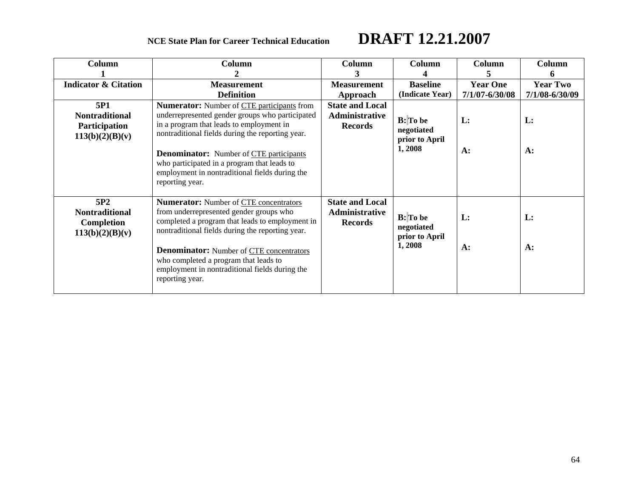| Column                                                                    | Column<br>2                                                                                                                                                                                                                                                                                                                                                                | <b>Column</b><br>3                                                | <b>Column</b>                                              | <b>Column</b>                     | Column                            |
|---------------------------------------------------------------------------|----------------------------------------------------------------------------------------------------------------------------------------------------------------------------------------------------------------------------------------------------------------------------------------------------------------------------------------------------------------------------|-------------------------------------------------------------------|------------------------------------------------------------|-----------------------------------|-----------------------------------|
| <b>Indicator &amp; Citation</b>                                           | <b>Measurement</b><br><b>Definition</b>                                                                                                                                                                                                                                                                                                                                    | <b>Measurement</b><br>Approach                                    | <b>Baseline</b><br>(Indicate Year)                         | <b>Year One</b><br>7/1/07-6/30/08 | <b>Year Two</b><br>7/1/08-6/30/09 |
| 5P1<br><b>Nontraditional</b><br><b>Participation</b><br>113(b)(2)(B)(v)   | <b>Numerator:</b> Number of CTE participants from<br>underrepresented gender groups who participated<br>in a program that leads to employment in<br>nontraditional fields during the reporting year.<br><b>Denominator:</b> Number of CTE participants<br>who participated in a program that leads to<br>employment in nontraditional fields during the<br>reporting year. | <b>State and Local</b><br><b>Administrative</b><br><b>Records</b> | <b>B</b> : To be<br>negotiated<br>prior to April<br>1,2008 | L:<br>A:                          | L:<br>A:                          |
| 5P <sub>2</sub><br><b>Nontraditional</b><br>Completion<br>113(b)(2)(B)(v) | <b>Numerator:</b> Number of CTE concentrators<br>from underrepresented gender groups who<br>completed a program that leads to employment in<br>nontraditional fields during the reporting year.<br><b>Denominator:</b> Number of CTE concentrators<br>who completed a program that leads to<br>employment in nontraditional fields during the<br>reporting year.           | <b>State and Local</b><br><b>Administrative</b><br><b>Records</b> | <b>B:</b> To be<br>negotiated<br>prior to April<br>1,2008  | L:<br>A:                          | L:<br>A:                          |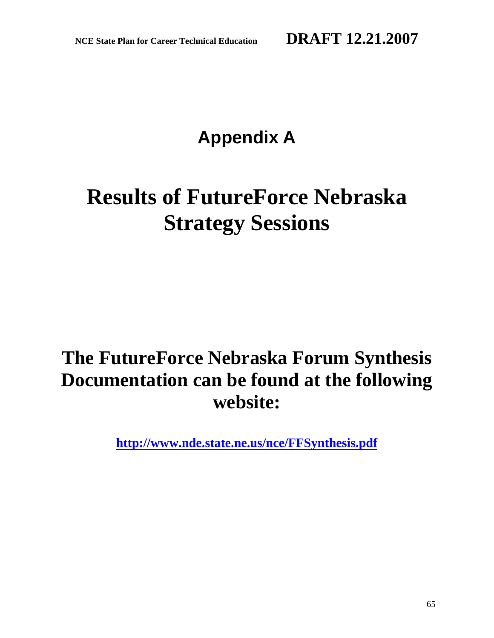# **Appendix A**

# **Results of FutureForce Nebraska Strategy Sessions**

# **The FutureForce Nebraska Forum Synthesis Documentation can be found at the following website:**

**http://www.nde.state.ne.us/nce/FFSynthesis.pdf**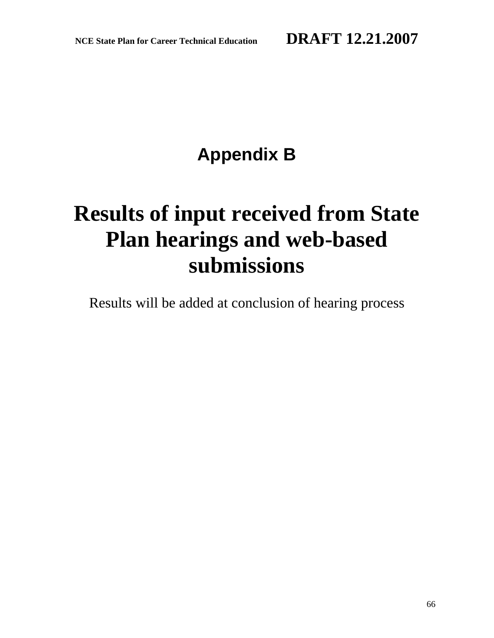# **Appendix B**

# **Results of input received from State Plan hearings and web-based submissions**

Results will be added at conclusion of hearing process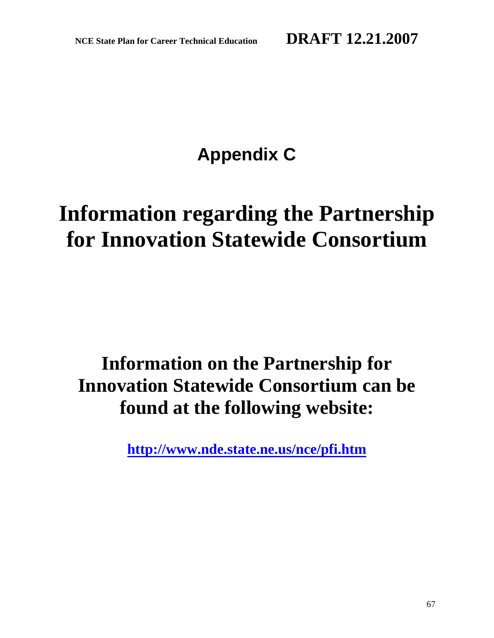# **Appendix C**

# **Information regarding the Partnership for Innovation Statewide Consortium**

# **Information on the Partnership for Innovation Statewide Consortium can be found at the following website:**

**http://www.nde.state.ne.us/nce/pfi.htm**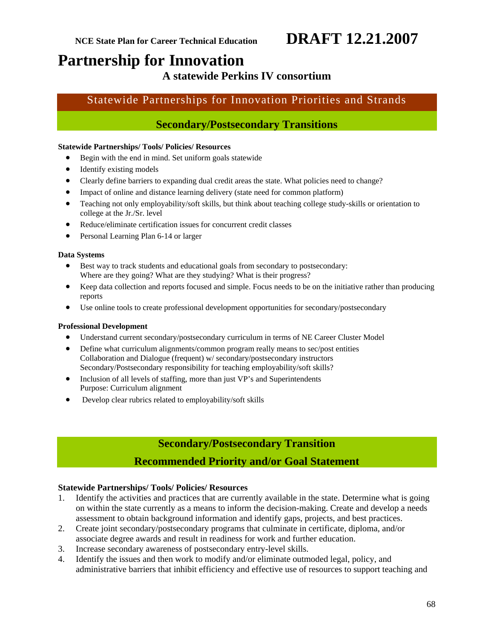## **Partnership for Innovation**

**A statewide Perkins IV consortium** 

#### Statewide Partnerships for Innovation Priorities and Strands

#### **Secondary/Postsecondary Transitions**

#### **Statewide Partnerships/ Tools/ Policies/ Resources**

- Begin with the end in mind. Set uniform goals statewide
- Identify existing models
- Clearly define barriers to expanding dual credit areas the state. What policies need to change?
- Impact of online and distance learning delivery (state need for common platform)
- Teaching not only employability/soft skills, but think about teaching college study-skills or orientation to college at the Jr./Sr. level
- Reduce/eliminate certification issues for concurrent credit classes
- Personal Learning Plan 6-14 or larger

#### **Data Systems**

- Best way to track students and educational goals from secondary to postsecondary: Where are they going? What are they studying? What is their progress?
- Keep data collection and reports focused and simple. Focus needs to be on the initiative rather than producing reports
- Use online tools to create professional development opportunities for secondary/postsecondary

#### **Professional Development**

- Understand current secondary/postsecondary curriculum in terms of NE Career Cluster Model
- Define what curriculum alignments/common program really means to sec/post entities Collaboration and Dialogue (frequent) w/ secondary/postsecondary instructors Secondary/Postsecondary responsibility for teaching employability/soft skills?
- Inclusion of all levels of staffing, more than just VP's and Superintendents Purpose: Curriculum alignment
- Develop clear rubrics related to employability/soft skills

#### **Secondary/Postsecondary Transition**

#### **Recommended Priority and/or Goal Statement**

#### **Statewide Partnerships/ Tools/ Policies/ Resources**

- 1. Identify the activities and practices that are currently available in the state. Determine what is going on within the state currently as a means to inform the decision-making. Create and develop a needs assessment to obtain background information and identify gaps, projects, and best practices.
- 2. Create joint secondary/postsecondary programs that culminate in certificate, diploma, and/or associate degree awards and result in readiness for work and further education.
- 3. Increase secondary awareness of postsecondary entry-level skills.
- 4. Identify the issues and then work to modify and/or eliminate outmoded legal, policy, and administrative barriers that inhibit efficiency and effective use of resources to support teaching and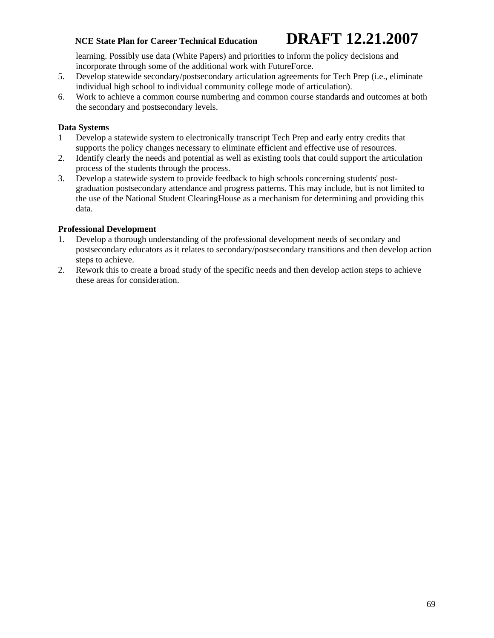learning. Possibly use data (White Papers) and priorities to inform the policy decisions and incorporate through some of the additional work with FutureForce.

- 5. Develop statewide secondary/postsecondary articulation agreements for Tech Prep (i.e., eliminate individual high school to individual community college mode of articulation).
- 6. Work to achieve a common course numbering and common course standards and outcomes at both the secondary and postsecondary levels.

#### **Data Systems**

- 1 Develop a statewide system to electronically transcript Tech Prep and early entry credits that supports the policy changes necessary to eliminate efficient and effective use of resources.
- 2. Identify clearly the needs and potential as well as existing tools that could support the articulation process of the students through the process.
- 3. Develop a statewide system to provide feedback to high schools concerning students' postgraduation postsecondary attendance and progress patterns. This may include, but is not limited to the use of the National Student ClearingHouse as a mechanism for determining and providing this data.

#### **Professional Development**

- 1. Develop a thorough understanding of the professional development needs of secondary and postsecondary educators as it relates to secondary/postsecondary transitions and then develop action steps to achieve.
- 2. Rework this to create a broad study of the specific needs and then develop action steps to achieve these areas for consideration.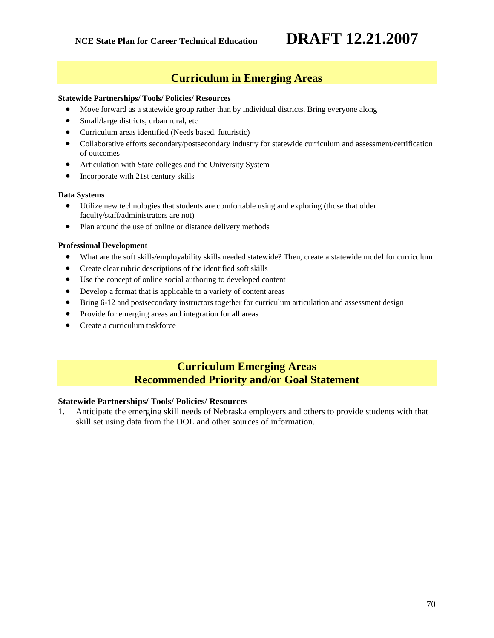#### **Curriculum in Emerging Areas**

#### **Statewide Partnerships/ Tools/ Policies/ Resources**

- Move forward as a statewide group rather than by individual districts. Bring everyone along
- Small/large districts, urban rural, etc
- Curriculum areas identified (Needs based, futuristic)
- Collaborative efforts secondary/postsecondary industry for statewide curriculum and assessment/certification of outcomes
- Articulation with State colleges and the University System
- Incorporate with 21st century skills

#### **Data Systems**

- Utilize new technologies that students are comfortable using and exploring (those that older faculty/staff/administrators are not)
- Plan around the use of online or distance delivery methods

#### **Professional Development**

- What are the soft skills/employability skills needed statewide? Then, create a statewide model for curriculum
- Create clear rubric descriptions of the identified soft skills
- Use the concept of online social authoring to developed content
- Develop a format that is applicable to a variety of content areas
- Bring 6-12 and postsecondary instructors together for curriculum articulation and assessment design
- Provide for emerging areas and integration for all areas
- Create a curriculum taskforce

### **Curriculum Emerging Areas Recommended Priority and/or Goal Statement**

#### **Statewide Partnerships/ Tools/ Policies/ Resources**

1. Anticipate the emerging skill needs of Nebraska employers and others to provide students with that skill set using data from the DOL and other sources of information.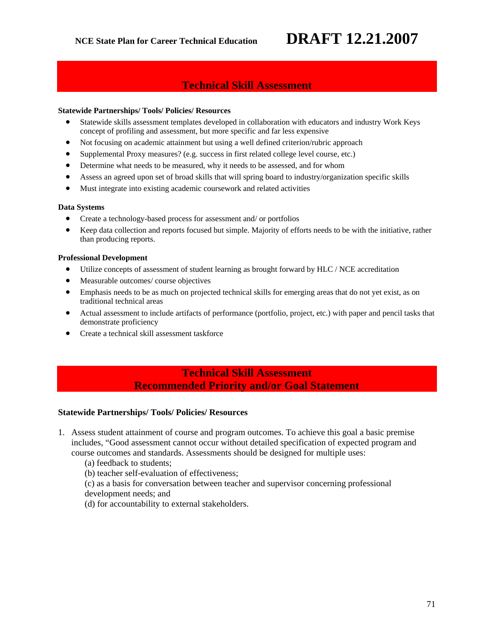#### **Technical Skill Assessment**

#### **Statewide Partnerships/ Tools/ Policies/ Resources**

- Statewide skills assessment templates developed in collaboration with educators and industry Work Keys concept of profiling and assessment, but more specific and far less expensive
- Not focusing on academic attainment but using a well defined criterion/rubric approach
- Supplemental Proxy measures? (e.g. success in first related college level course, etc.)
- Determine what needs to be measured, why it needs to be assessed, and for whom
- Assess an agreed upon set of broad skills that will spring board to industry/organization specific skills
- Must integrate into existing academic coursework and related activities

#### **Data Systems**

- Create a technology-based process for assessment and/ or portfolios
- Keep data collection and reports focused but simple. Majority of efforts needs to be with the initiative, rather than producing reports.

#### **Professional Development**

- Utilize concepts of assessment of student learning as brought forward by HLC / NCE accreditation
- Measurable outcomes/ course objectives
- Emphasis needs to be as much on projected technical skills for emerging areas that do not yet exist, as on traditional technical areas
- Actual assessment to include artifacts of performance (portfolio, project, etc.) with paper and pencil tasks that demonstrate proficiency
- Create a technical skill assessment taskforce

#### **Technical Skill Assessment Recommended Priority and/or Goal Statement**

#### **Statewide Partnerships/ Tools/ Policies/ Resources**

- 1. Assess student attainment of course and program outcomes. To achieve this goal a basic premise includes, "Good assessment cannot occur without detailed specification of expected program and course outcomes and standards. Assessments should be designed for multiple uses:
	- (a) feedback to students;
	- (b) teacher self-evaluation of effectiveness;
	- (c) as a basis for conversation between teacher and supervisor concerning professional development needs; and
	- (d) for accountability to external stakeholders.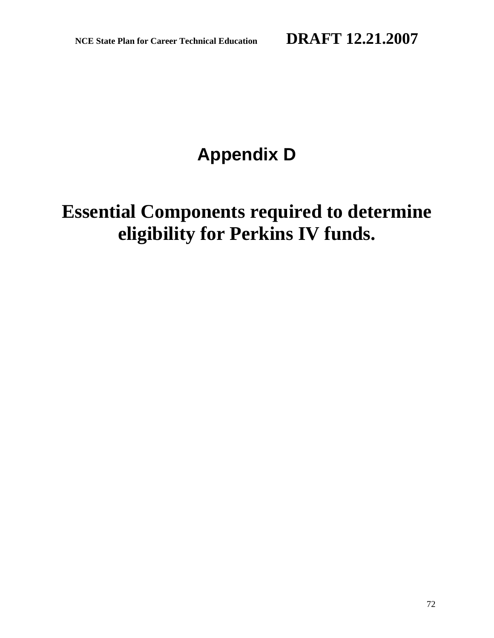# **Appendix D**

# **Essential Components required to determine eligibility for Perkins IV funds.**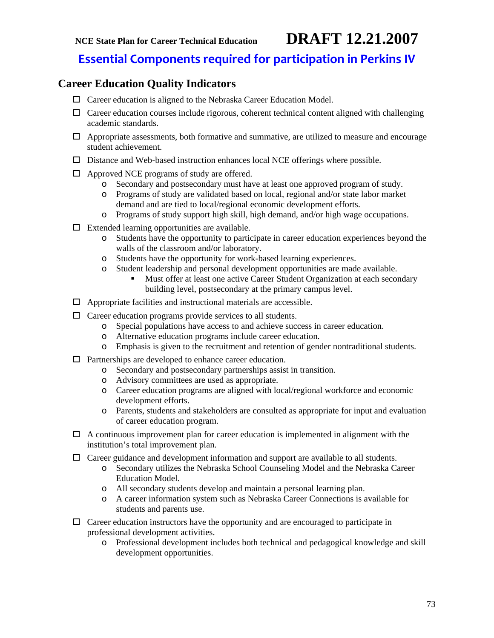# **Essential Components required for participation in Perkins IV**

# **Career Education Quality Indicators**

- $\Box$  Career education is aligned to the Nebraska Career Education Model.
- $\Box$  Career education courses include rigorous, coherent technical content aligned with challenging academic standards.
- $\Box$  Appropriate assessments, both formative and summative, are utilized to measure and encourage student achievement.
- $\Box$  Distance and Web-based instruction enhances local NCE offerings where possible.
- $\Box$  Approved NCE programs of study are offered.
	- o Secondary and postsecondary must have at least one approved program of study.
	- o Programs of study are validated based on local, regional and/or state labor market demand and are tied to local/regional economic development efforts.
	- o Programs of study support high skill, high demand, and/or high wage occupations.
- $\Box$  Extended learning opportunities are available.
	- o Students have the opportunity to participate in career education experiences beyond the walls of the classroom and/or laboratory.
	- o Students have the opportunity for work-based learning experiences.
	- o Student leadership and personal development opportunities are made available.
		- Must offer at least one active Career Student Organization at each secondary building level, postsecondary at the primary campus level.
- $\Box$  Appropriate facilities and instructional materials are accessible.
- $\Box$  Career education programs provide services to all students.
	- o Special populations have access to and achieve success in career education.
	- o Alternative education programs include career education.
	- o Emphasis is given to the recruitment and retention of gender nontraditional students.
- $\Box$  Partnerships are developed to enhance career education.
	- o Secondary and postsecondary partnerships assist in transition.
	- o Advisory committees are used as appropriate.
	- o Career education programs are aligned with local/regional workforce and economic development efforts.
	- o Parents, students and stakeholders are consulted as appropriate for input and evaluation of career education program.
- $\Box$  A continuous improvement plan for career education is implemented in alignment with the institution's total improvement plan.
- $\Box$  Career guidance and development information and support are available to all students.
	- o Secondary utilizes the Nebraska School Counseling Model and the Nebraska Career Education Model.
	- o All secondary students develop and maintain a personal learning plan.
	- o A career information system such as Nebraska Career Connections is available for students and parents use.
- $\Box$  Career education instructors have the opportunity and are encouraged to participate in professional development activities.
	- o Professional development includes both technical and pedagogical knowledge and skill development opportunities.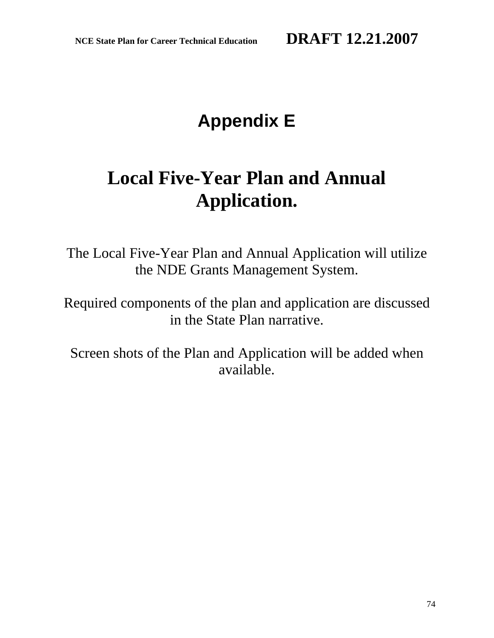# **Appendix E**

# **Local Five-Year Plan and Annual Application.**

The Local Five-Year Plan and Annual Application will utilize the NDE Grants Management System.

Required components of the plan and application are discussed in the State Plan narrative.

Screen shots of the Plan and Application will be added when available.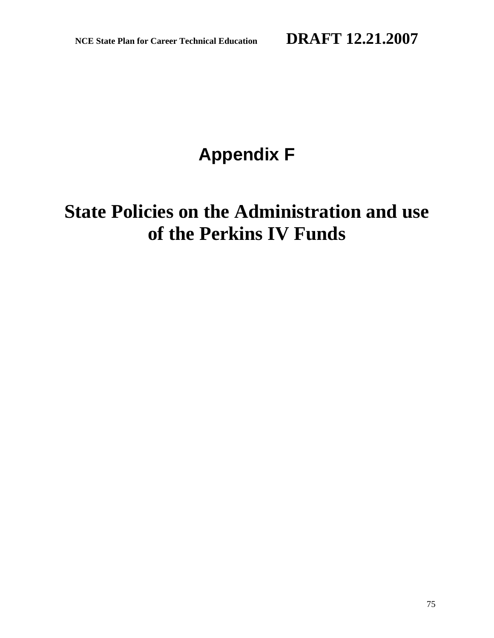# **Appendix F**

# **State Policies on the Administration and use of the Perkins IV Funds**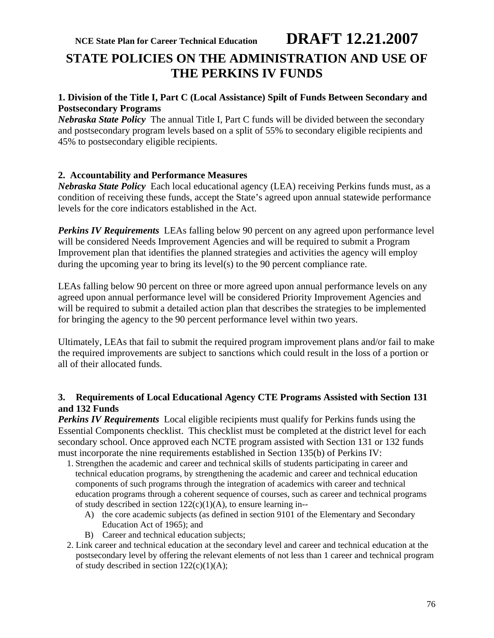# **STATE POLICIES ON THE ADMINISTRATION AND USE OF THE PERKINS IV FUNDS**

## **1. Division of the Title I, Part C (Local Assistance) Spilt of Funds Between Secondary and Postsecondary Programs**

*Nebraska State Policy* The annual Title I, Part C funds will be divided between the secondary and postsecondary program levels based on a split of 55% to secondary eligible recipients and 45% to postsecondary eligible recipients.

## **2. Accountability and Performance Measures**

*Nebraska State Policy* Each local educational agency (LEA) receiving Perkins funds must, as a condition of receiving these funds, accept the State's agreed upon annual statewide performance levels for the core indicators established in the Act.

*Perkins IV Requirements* LEAs falling below 90 percent on any agreed upon performance level will be considered Needs Improvement Agencies and will be required to submit a Program Improvement plan that identifies the planned strategies and activities the agency will employ during the upcoming year to bring its level(s) to the 90 percent compliance rate.

LEAs falling below 90 percent on three or more agreed upon annual performance levels on any agreed upon annual performance level will be considered Priority Improvement Agencies and will be required to submit a detailed action plan that describes the strategies to be implemented for bringing the agency to the 90 percent performance level within two years.

Ultimately, LEAs that fail to submit the required program improvement plans and/or fail to make the required improvements are subject to sanctions which could result in the loss of a portion or all of their allocated funds.

## **3. Requirements of Local Educational Agency CTE Programs Assisted with Section 131 and 132 Funds**

**Perkins IV Requirements** Local eligible recipients must qualify for Perkins funds using the Essential Components checklist. This checklist must be completed at the district level for each secondary school. Once approved each NCTE program assisted with Section 131 or 132 funds must incorporate the nine requirements established in Section 135(b) of Perkins IV:

- 1. Strengthen the academic and career and technical skills of students participating in career and technical education programs, by strengthening the academic and career and technical education components of such programs through the integration of academics with career and technical education programs through a coherent sequence of courses, such as career and technical programs of study described in section  $122(c)(1)(A)$ , to ensure learning in--
	- A) the core academic subjects (as defined in section 9101 of the Elementary and Secondary Education Act of 1965); and
	- B) Career and technical education subjects;
- 2. Link career and technical education at the secondary level and career and technical education at the postsecondary level by offering the relevant elements of not less than 1 career and technical program of study described in section  $122(c)(1)(A);$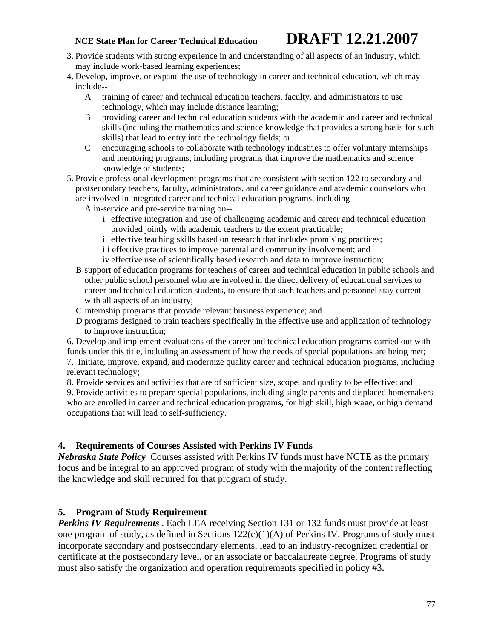- 3. Provide students with strong experience in and understanding of all aspects of an industry, which may include work-based learning experiences;
- 4. Develop, improve, or expand the use of technology in career and technical education, which may include--
	- A training of career and technical education teachers, faculty, and administrators to use technology, which may include distance learning;
	- B providing career and technical education students with the academic and career and technical skills (including the mathematics and science knowledge that provides a strong basis for such skills) that lead to entry into the technology fields; or
	- C encouraging schools to collaborate with technology industries to offer voluntary internships and mentoring programs, including programs that improve the mathematics and science knowledge of students;
- 5. Provide professional development programs that are consistent with section 122 to secondary and postsecondary teachers, faculty, administrators, and career guidance and academic counselors who are involved in integrated career and technical education programs, including--
	- A in-service and pre-service training on-
		- i effective integration and use of challenging academic and career and technical education provided jointly with academic teachers to the extent practicable;
		- ii effective teaching skills based on research that includes promising practices;
		- iii effective practices to improve parental and community involvement; and
		- iv effective use of scientifically based research and data to improve instruction;
	- B support of education programs for teachers of career and technical education in public schools and other public school personnel who are involved in the direct delivery of educational services to career and technical education students, to ensure that such teachers and personnel stay current with all aspects of an industry;
	- C internship programs that provide relevant business experience; and
	- D programs designed to train teachers specifically in the effective use and application of technology to improve instruction;

6. Develop and implement evaluations of the career and technical education programs carried out with funds under this title, including an assessment of how the needs of special populations are being met; 7. Initiate, improve, expand, and modernize quality career and technical education programs, including relevant technology;

8. Provide services and activities that are of sufficient size, scope, and quality to be effective; and 9. Provide activities to prepare special populations, including single parents and displaced homemakers who are enrolled in career and technical education programs, for high skill, high wage, or high demand occupations that will lead to self-sufficiency.

### **4. Requirements of Courses Assisted with Perkins IV Funds**

*Nebraska State Policy* Courses assisted with Perkins IV funds must have NCTE as the primary focus and be integral to an approved program of study with the majority of the content reflecting the knowledge and skill required for that program of study.

## **5. Program of Study Requirement**

*Perkins IV Requirements* . Each LEA receiving Section 131 or 132 funds must provide at least one program of study, as defined in Sections 122(c)(1)(A) of Perkins IV. Programs of study must incorporate secondary and postsecondary elements, lead to an industry-recognized credential or certificate at the postsecondary level, or an associate or baccalaureate degree. Programs of study must also satisfy the organization and operation requirements specified in policy #3**.**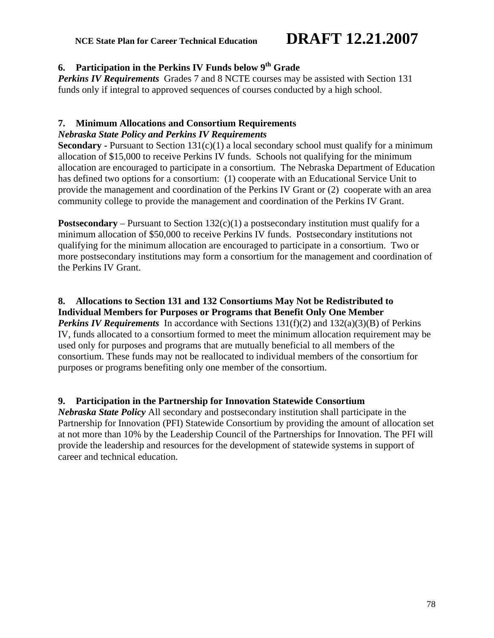## **6. Participation in the Perkins IV Funds below 9th Grade**

*Perkins IV Requirements* Grades 7 and 8 NCTE courses may be assisted with Section 131 funds only if integral to approved sequences of courses conducted by a high school.

# **7. Minimum Allocations and Consortium Requirements**

## *Nebraska State Policy and Perkins IV Requirements*

**Secondary - Pursuant to Section 131(c)(1) a local secondary school must qualify for a minimum** allocation of \$15,000 to receive Perkins IV funds. Schools not qualifying for the minimum allocation are encouraged to participate in a consortium. The Nebraska Department of Education has defined two options for a consortium: (1) cooperate with an Educational Service Unit to provide the management and coordination of the Perkins IV Grant or (2) cooperate with an area community college to provide the management and coordination of the Perkins IV Grant.

**Postsecondary** – Pursuant to Section  $132(c)(1)$  a postsecondary institution must qualify for a minimum allocation of \$50,000 to receive Perkins IV funds. Postsecondary institutions not qualifying for the minimum allocation are encouraged to participate in a consortium. Two or more postsecondary institutions may form a consortium for the management and coordination of the Perkins IV Grant.

### **8. Allocations to Section 131 and 132 Consortiums May Not be Redistributed to Individual Members for Purposes or Programs that Benefit Only One Member**

*Perkins IV Requirements* In accordance with Sections 131(f)(2) and 132(a)(3)(B) of Perkins IV, funds allocated to a consortium formed to meet the minimum allocation requirement may be used only for purposes and programs that are mutually beneficial to all members of the consortium. These funds may not be reallocated to individual members of the consortium for purposes or programs benefiting only one member of the consortium.

## **9. Participation in the Partnership for Innovation Statewide Consortium**

*Nebraska State Policy* All secondary and postsecondary institution shall participate in the Partnership for Innovation (PFI) Statewide Consortium by providing the amount of allocation set at not more than 10% by the Leadership Council of the Partnerships for Innovation. The PFI will provide the leadership and resources for the development of statewide systems in support of career and technical education.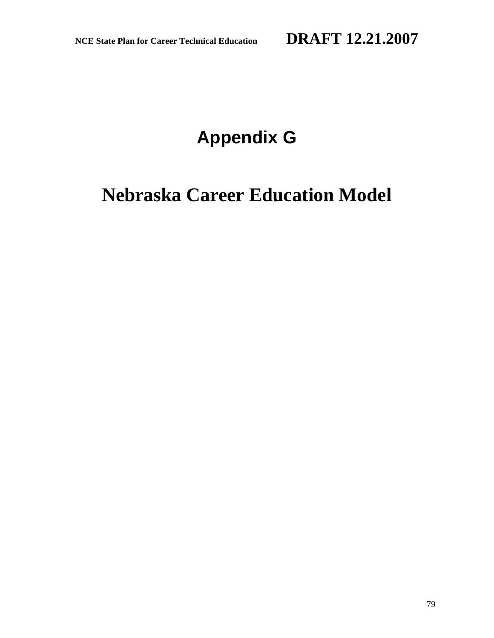# **Appendix G**

# **Nebraska Career Education Model**